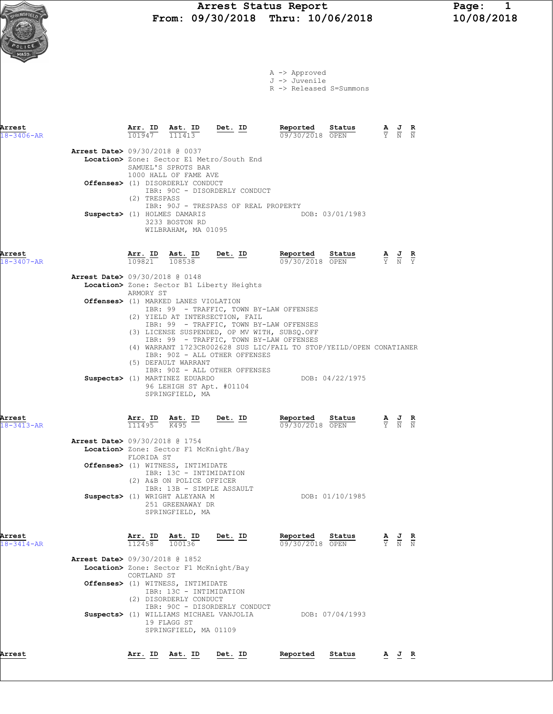A -> Approved J -> Juvenile

R -> Released S=Summons

| Arrest                     |                                          |                                | Ast. ID                                                                                                                | $Det. ID$                                                                                                                                                                                                                                         | Reported                                                            | Status          |                                                                                                 |                                 |
|----------------------------|------------------------------------------|--------------------------------|------------------------------------------------------------------------------------------------------------------------|---------------------------------------------------------------------------------------------------------------------------------------------------------------------------------------------------------------------------------------------------|---------------------------------------------------------------------|-----------------|-------------------------------------------------------------------------------------------------|---------------------------------|
| $18 - 3406 - AR$           |                                          | $\frac{\texttt{Arr.}}{101947}$ | 111413                                                                                                                 |                                                                                                                                                                                                                                                   | 09/30/2018 OPEN                                                     |                 | $\frac{\mathbf{A}}{\mathbf{Y}}$ $\frac{\mathbf{J}}{\mathbf{N}}$ $\frac{\mathbf{R}}{\mathbf{N}}$ |                                 |
|                            | <b>Arrest Date&gt;</b> 09/30/2018 @ 0037 |                                | SAMUEL'S SPROTS BAR                                                                                                    | Location> Zone: Sector E1 Metro/South End                                                                                                                                                                                                         |                                                                     |                 |                                                                                                 |                                 |
|                            |                                          | (2) TRESPASS                   | 1000 HALL OF FAME AVE<br>Offenses> (1) DISORDERLY CONDUCT                                                              | IBR: 90C - DISORDERLY CONDUCT                                                                                                                                                                                                                     |                                                                     |                 |                                                                                                 |                                 |
|                            |                                          |                                | Suspects> (1) HOLMES DAMARIS<br>3233 BOSTON RD<br>WILBRAHAM, MA 01095                                                  | IBR: 90J - TRESPASS OF REAL PROPERTY                                                                                                                                                                                                              |                                                                     | DOB: 03/01/1983 |                                                                                                 |                                 |
| Arrest<br>18-3407-AR       |                                          | Ar <u>r.</u> ID<br>109821      | Ast. ID<br>108538                                                                                                      | <u>Det. ID</u>                                                                                                                                                                                                                                    | Reported<br>09/30/2018 OPEN                                         | Status          | $\frac{\mathbf{A}}{\mathbf{Y}}$ $\frac{\mathbf{J}}{\mathbf{N}}$ $\frac{\mathbf{R}}{\mathbf{Y}}$ |                                 |
|                            | Arrest Date> 09/30/2018 @ 0148           | ARMORY ST                      |                                                                                                                        | Location> Zone: Sector B1 Liberty Heights                                                                                                                                                                                                         |                                                                     |                 |                                                                                                 |                                 |
|                            |                                          |                                | Offenses> (1) MARKED LANES VIOLATION                                                                                   | IBR: 99 - TRAFFIC, TOWN BY-LAW OFFENSES<br>(2) YIELD AT INTERSECTION, FAIL<br>IBR: 99 - TRAFFIC, TOWN BY-LAW OFFENSES<br>(3) LICENSE SUSPENDED, OP MV WITH, SUBSQ.OFF<br>IBR: 99 - TRAFFIC, TOWN BY-LAW OFFENSES<br>IBR: 90Z - ALL OTHER OFFENSES | (4) WARRANT 1723CR002628 SUS LIC/FAIL TO STOP/YEILD/OPEN CONATIANER |                 |                                                                                                 |                                 |
|                            |                                          |                                | (5) DEFAULT WARRANT<br>Suspects> (1) MARTINEZ EDUARDO<br>96 LEHIGH ST Apt. #01104<br>SPRINGFIELD, MA                   | IBR: 90Z - ALL OTHER OFFENSES                                                                                                                                                                                                                     |                                                                     | DOB: 04/22/1975 |                                                                                                 |                                 |
| Arrest<br>$18 - 3413 - AR$ |                                          | Arr. ID<br>111495              | Ast. ID<br>K495                                                                                                        | Det. ID                                                                                                                                                                                                                                           | Reported<br>09/30/2018 OPEN                                         | Status          | $\frac{\mathbf{A}}{\mathbf{Y}}$ $\frac{\mathbf{J}}{\mathbf{N}}$ $\frac{\mathbf{R}}{\mathbf{N}}$ |                                 |
|                            | Arrest Date> 09/30/2018 @ 1754           | FLORIDA ST                     | Location> Zone: Sector F1 McKnight/Bay                                                                                 |                                                                                                                                                                                                                                                   |                                                                     |                 |                                                                                                 |                                 |
|                            |                                          |                                | Offenses> (1) WITNESS, INTIMIDATE<br>IBR: 13C - INTIMIDATION<br>(2) A&B ON POLICE OFFICER<br>IBR: 13B - SIMPLE ASSAULT |                                                                                                                                                                                                                                                   |                                                                     |                 |                                                                                                 |                                 |
|                            |                                          |                                | Suspects> (1) WRIGHT ALEYANA M<br>251 GREENAWAY DR<br>SPRINGFIELD, MA                                                  |                                                                                                                                                                                                                                                   |                                                                     | DOB: 01/10/1985 |                                                                                                 |                                 |
| Arrest<br>$18 - 3414 - AR$ |                                          | Arr. ID<br>112458              | <u>Ast. ID</u><br>100136                                                                                               | Det. ID                                                                                                                                                                                                                                           | Reported<br>09/30/2018 OPEN                                         | Status          | $\frac{\mathbf{A}}{\mathbf{Y}}$ $\frac{\mathbf{J}}{\mathbf{N}}$                                 | $\frac{\mathbf{R}}{\mathbb{N}}$ |
|                            | Arrest Date> 09/30/2018 @ 1852           | CORTLAND ST                    | Location> Zone: Sector F1 McKnight/Bay                                                                                 |                                                                                                                                                                                                                                                   |                                                                     |                 |                                                                                                 |                                 |
|                            |                                          |                                | <b>Offenses&gt;</b> (1) WITNESS, INTIMIDATE<br>IBR: 13C - INTIMIDATION<br>(2) DISORDERLY CONDUCT                       |                                                                                                                                                                                                                                                   |                                                                     |                 |                                                                                                 |                                 |
|                            |                                          |                                | 19 FLAGG ST<br>SPRINGFIELD, MA 01109                                                                                   | IBR: 90C - DISORDERLY CONDUCT<br>Suspects> (1) WILLIAMS MICHAEL VANJOLIA                                                                                                                                                                          | DOB: 07/04/1993                                                     |                 |                                                                                                 |                                 |
| Arrest                     |                                          |                                | Arr. ID Ast. ID                                                                                                        | Det. ID                                                                                                                                                                                                                                           | Reported                                                            | Status          | AJ R                                                                                            |                                 |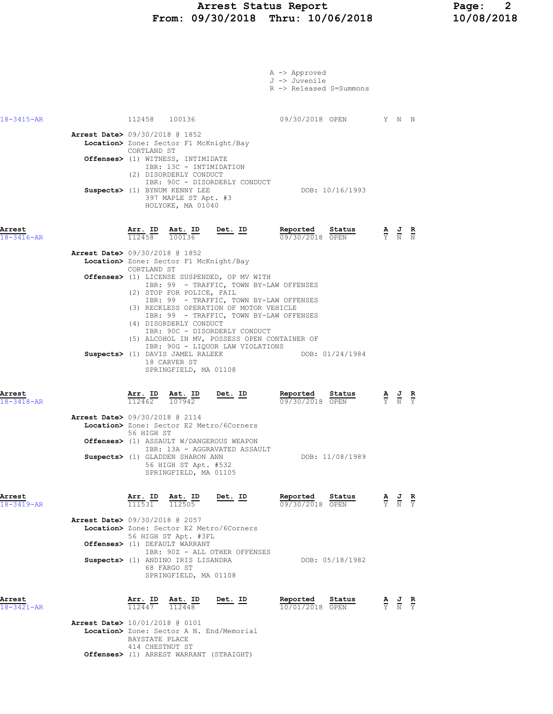## Arrest Status Report Page: 2<br>09/30/2018 Thru: 10/06/2018 10/08/2018 From: 09/30/2018 Thru: 10/06/2018

|                            |                                          |                             |                                                                                                                                  |                                                                                                                       | A -> Approved<br>J -> Juvenile<br>R -> Released S=Summons                                                                                             |                                                                                                       |  |
|----------------------------|------------------------------------------|-----------------------------|----------------------------------------------------------------------------------------------------------------------------------|-----------------------------------------------------------------------------------------------------------------------|-------------------------------------------------------------------------------------------------------------------------------------------------------|-------------------------------------------------------------------------------------------------------|--|
| $18 - 3415 - AR$           |                                          |                             | 112458 100136                                                                                                                    |                                                                                                                       | 09/30/2018 OPEN Y N N                                                                                                                                 |                                                                                                       |  |
|                            | Arrest Date> 09/30/2018 @ 1852           | CORTLAND ST                 | Location> Zone: Sector F1 McKnight/Bay<br>Offenses> (1) WITNESS, INTIMIDATE<br>IBR: 13C - INTIMIDATION<br>(2) DISORDERLY CONDUCT | IBR: 90C - DISORDERLY CONDUCT                                                                                         |                                                                                                                                                       |                                                                                                       |  |
|                            |                                          |                             | Suspects> (1) BYNUM KENNY LEE<br>397 MAPLE ST Apt. #3<br>HOLYOKE, MA 01040                                                       |                                                                                                                       | DOB: 10/16/1993                                                                                                                                       |                                                                                                       |  |
| Arrest<br>$18 - 3416 - AR$ |                                          |                             |                                                                                                                                  | $\frac{\texttt{Arr.}}{112458}$ $\frac{\texttt{Ab.}}{100136}$ $\frac{\texttt{Det.}}{6}$ $\frac{\texttt{ID}}{100136}$   | Reported Status<br>09/30/2018 OPEN                                                                                                                    | $\frac{\mathbf{A}}{\overline{Y}}$ $\frac{\mathbf{J}}{\overline{N}}$ $\frac{\mathbf{R}}{\overline{N}}$ |  |
|                            | <b>Arrest Date&gt;</b> 09/30/2018 @ 1852 | CORTLAND ST                 | Location> Zone: Sector F1 McKnight/Bay<br>(2) STOP FOR POLICE, FAIL                                                              | Offenses> (1) LICENSE SUSPENDED, OP MV WITH                                                                           | IBR: 99 - TRAFFIC, TOWN BY-LAW OFFENSES                                                                                                               |                                                                                                       |  |
|                            |                                          |                             | (4) DISORDERLY CONDUCT<br>Suspects> (1) DAVIS JAMEL RALEEK<br>18 CARVER ST<br>SPRINGFIELD, MA 01108                              | (3) RECKLESS OPERATION OF MOTOR VEHICLE<br>IBR: 90C - DISORDERLY CONDUCT<br>IBR: 90G - LIQUOR LAW VIOLATIONS          | IBR: 99 - TRAFFIC, TOWN BY-LAW OFFENSES<br>IBR: 99 - TRAFFIC, TOWN BY-LAW OFFENSES<br>(5) ALCOHOL IN MV, POSSESS OPEN CONTAINER OF<br>DOB: 01/24/1984 |                                                                                                       |  |
| Arrest<br>$18 - 3418 - AR$ |                                          |                             | $\frac{\texttt{Arr.}}{112462}$ $\frac{\texttt{Ab.}}{107942}$                                                                     | $Det. ID$                                                                                                             | Reported Status<br>09/30/2018 OPEN                                                                                                                    | $\frac{\mathbf{A}}{\mathbf{Y}}$ $\frac{\mathbf{J}}{\mathbf{N}}$ $\frac{\mathbf{R}}{\mathbf{Y}}$       |  |
|                            | Arrest Date> 09/30/2018 @ 2114           | 56 HIGH ST                  | Suspects> (1) GLADDEN SHARON ANN<br>56 HIGH ST Apt. #532<br>SPRINGFIELD, MA 01105                                                | Location> Zone: Sector E2 Metro/6Corners<br>Offenses> (1) ASSAULT W/DANGEROUS WEAPON<br>IBR: 13A - AGGRAVATED ASSAULT | DOB: 11/08/1989                                                                                                                                       |                                                                                                       |  |
| Arrest<br>$18 - 3419 - AR$ | Arrest Date> 09/30/2018 @ 2057           |                             | $\frac{\texttt{Arr. ID}}{111531}$ $\frac{\texttt{ Ast. ID}}{112505}$<br>56 HIGH ST Apt. #3FL                                     | Det. ID<br>Location> Zone: Sector E2 Metro/6Corners                                                                   | Reported<br>Status<br>09/30/2018 OPEN                                                                                                                 | $\frac{\mathbf{A}}{\mathbf{Y}}$ $\frac{\mathbf{J}}{\mathbf{N}}$ $\frac{\mathbf{R}}{\mathbf{Y}}$       |  |
|                            |                                          |                             | Offenses> (1) DEFAULT WARRANT<br>Suspects> (1) ANDINO IRIS LISANDRA<br>68 FARGO ST<br>SPRINGFIELD, MA 01108                      | IBR: 90Z - ALL OTHER OFFENSES                                                                                         | DOB: 05/18/1982                                                                                                                                       |                                                                                                       |  |
| Arrest<br>$18 - 3421 - AR$ |                                          | Arr. ID<br>$\frac{112447}{$ | $\frac{\text{Ast.}}{112448}$                                                                                                     | Det. ID                                                                                                               | Reported<br>Status<br>10/01/2018 OPEN                                                                                                                 | $\frac{\mathbf{A}}{\mathbf{Y}}$ $\frac{\mathbf{J}}{\mathbf{N}}$ $\frac{\mathbf{R}}{\mathbf{Y}}$       |  |
|                            | <b>Arrest Date&gt;</b> 10/01/2018 @ 0101 |                             |                                                                                                                                  | Location> Zone: Sector A N. End/Memorial                                                                              |                                                                                                                                                       |                                                                                                       |  |

 BAYSTATE PLACE 414 CHESTNUT ST Offenses> (1) ARREST WARRANT (STRAIGHT)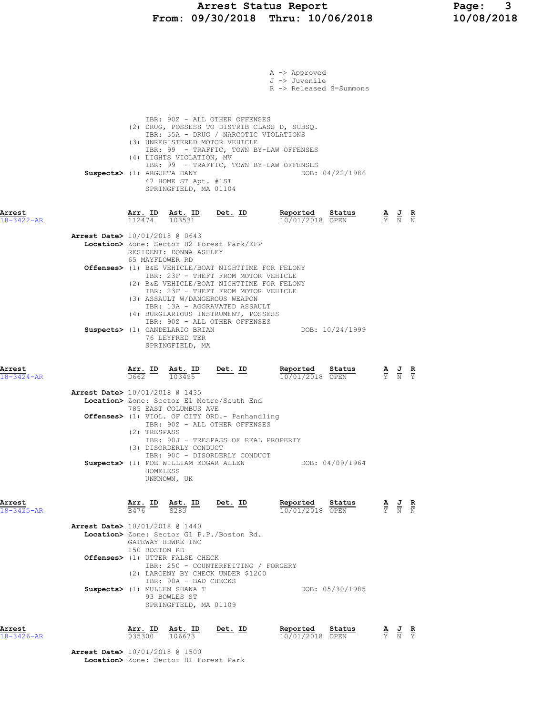# Arrest Status Report Page: 3<br>09/30/2018 Thru: 10/06/2018 10/08/2018 From: 09/30/2018 Thru: 10/06/2018

|                            |                                          |                                          |                                                                                                |                                                                                                                                                                                                                                                                                          | A -> Approved<br>J -> Juvenile<br>R -> Released S=Summons                                                                          |                 |                                                                                                       |  |
|----------------------------|------------------------------------------|------------------------------------------|------------------------------------------------------------------------------------------------|------------------------------------------------------------------------------------------------------------------------------------------------------------------------------------------------------------------------------------------------------------------------------------------|------------------------------------------------------------------------------------------------------------------------------------|-----------------|-------------------------------------------------------------------------------------------------------|--|
|                            | Suspects> (1) ARGUETA DANY               |                                          | (4) LIGHTS VIOLATION, MV<br>47 HOME ST Apt. #1ST<br>SPRINGFIELD, MA 01104                      | IBR: 90Z - ALL OTHER OFFENSES<br>IBR: 35A - DRUG / NARCOTIC VIOLATIONS<br>(3) UNREGISTERED MOTOR VEHICLE                                                                                                                                                                                 | (2) DRUG, POSSESS TO DISTRIB CLASS D, SUBSQ.<br>IBR: 99 - TRAFFIC, TOWN BY-LAW OFFENSES<br>IBR: 99 - TRAFFIC, TOWN BY-LAW OFFENSES | DOB: 04/22/1986 |                                                                                                       |  |
| Arrest<br>$18 - 3422 - AR$ |                                          |                                          | $\frac{\texttt{Arr.}}{112474}$ $\frac{\texttt{lab}}{103531}$                                   | <u>Det.</u> ID                                                                                                                                                                                                                                                                           | Reported Status<br>10/01/2018 OPEN                                                                                                 |                 | $\frac{\mathbf{A}}{\overline{Y}}$ $\frac{\mathbf{J}}{\overline{N}}$ $\frac{\mathbf{R}}{\overline{N}}$ |  |
|                            | <b>Arrest Date&gt;</b> 10/01/2018 @ 0643 | 65 MAYFLOWER RD                          | RESIDENT: DONNA ASHLEY                                                                         | Location> Zone: Sector H2 Forest Park/EFP                                                                                                                                                                                                                                                |                                                                                                                                    |                 |                                                                                                       |  |
|                            |                                          |                                          |                                                                                                | Offenses> (1) B&E VEHICLE/BOAT NIGHTTIME FOR FELONY<br>IBR: 23F - THEFT FROM MOTOR VEHICLE<br>(2) B&E VEHICLE/BOAT NIGHTTIME FOR FELONY<br>IBR: 23F - THEFT FROM MOTOR VEHICLE<br>(3) ASSAULT W/DANGEROUS WEAPON<br>IBR: 13A - AGGRAVATED ASSAULT<br>(4) BURGLARIOUS INSTRUMENT, POSSESS |                                                                                                                                    |                 |                                                                                                       |  |
|                            |                                          |                                          | Suspects> (1) CANDELARIO BRIAN<br>76 LEYFRED TER<br>SPRINGFIELD, MA                            | IBR: 90Z - ALL OTHER OFFENSES                                                                                                                                                                                                                                                            |                                                                                                                                    | DOB: 10/24/1999 |                                                                                                       |  |
| Arrest<br>$18 - 3424 - AR$ |                                          | $\overline{D662}$ $\overline{103495}$    |                                                                                                | $\frac{\text{Arr.}}{\text{tan } \theta}$ ID Ast. ID Det. ID                                                                                                                                                                                                                              | Reported<br>10/01/2018 OPEN                                                                                                        | Status          | $\frac{\mathbf{A}}{\mathbf{Y}}$ $\frac{\mathbf{J}}{\mathbf{N}}$ $\frac{\mathbf{R}}{\mathbf{Y}}$       |  |
|                            | Arrest Date> 10/01/2018 @ 1435           |                                          | 785 EAST COLUMBUS AVE                                                                          | Location> Zone: Sector E1 Metro/South End                                                                                                                                                                                                                                                |                                                                                                                                    |                 |                                                                                                       |  |
|                            |                                          | (2) TRESPASS                             | (3) DISORDERLY CONDUCT                                                                         | Offenses> (1) VIOL. OF CITY ORD.- Panhandling<br>IBR: 90Z - ALL OTHER OFFENSES<br>IBR: 90J - TRESPASS OF REAL PROPERTY                                                                                                                                                                   |                                                                                                                                    |                 |                                                                                                       |  |
|                            |                                          | HOMELESS                                 | UNKNOWN, UK                                                                                    | IBR: 90C - DISORDERLY CONDUCT<br>Suspects> (1) POE WILLIAM EDGAR ALLEN                                                                                                                                                                                                                   |                                                                                                                                    | DOB: 04/09/1964 |                                                                                                       |  |
| Arrest<br>$18 - 3425 - AR$ |                                          | $\frac{\texttt{Arr.}}{\texttt{B476}}$ ID | $\frac{\text{Ast.}}{\text{S283}}$ ID                                                           | Det. ID                                                                                                                                                                                                                                                                                  | Reported<br>10/01/2018 OPEN                                                                                                        | Status          | $\frac{\mathbf{A}}{\mathbf{Y}}$ $\frac{\mathbf{J}}{\mathbf{N}}$ $\frac{\mathbf{R}}{\mathbf{N}}$       |  |
|                            | <b>Arrest Date&gt;</b> 10/01/2018 @ 1440 | GATEWAY HDWRE INC<br>150 BOSTON RD       |                                                                                                | Location> Zone: Sector G1 P.P./Boston Rd.                                                                                                                                                                                                                                                |                                                                                                                                    |                 |                                                                                                       |  |
|                            |                                          |                                          | Offenses> (1) UTTER FALSE CHECK                                                                | IBR: 250 - COUNTERFEITING / FORGERY<br>(2) LARCENY BY CHECK UNDER \$1200                                                                                                                                                                                                                 |                                                                                                                                    |                 |                                                                                                       |  |
|                            |                                          |                                          | IBR: 90A - BAD CHECKS<br>Suspects> (1) MULLEN SHANA T<br>93 BOWLES ST<br>SPRINGFIELD, MA 01109 |                                                                                                                                                                                                                                                                                          |                                                                                                                                    | DOB: 05/30/1985 |                                                                                                       |  |
| Arrest<br>18-3426-AR       |                                          | Arr. ID<br>035300                        | Ast. ID<br>106673                                                                              | <u>Det. ID</u>                                                                                                                                                                                                                                                                           | Reported<br>10/01/2018 OPEN                                                                                                        | Status          | $\frac{\mathbf{A}}{\mathbf{Y}}$ $\frac{\mathbf{J}}{\mathbf{N}}$ $\frac{\mathbf{R}}{\mathbf{Y}}$       |  |
|                            | <b>Arrest Date&gt;</b> 10/01/2018 @ 1500 |                                          |                                                                                                |                                                                                                                                                                                                                                                                                          |                                                                                                                                    |                 |                                                                                                       |  |

Location> Zone: Sector H1 Forest Park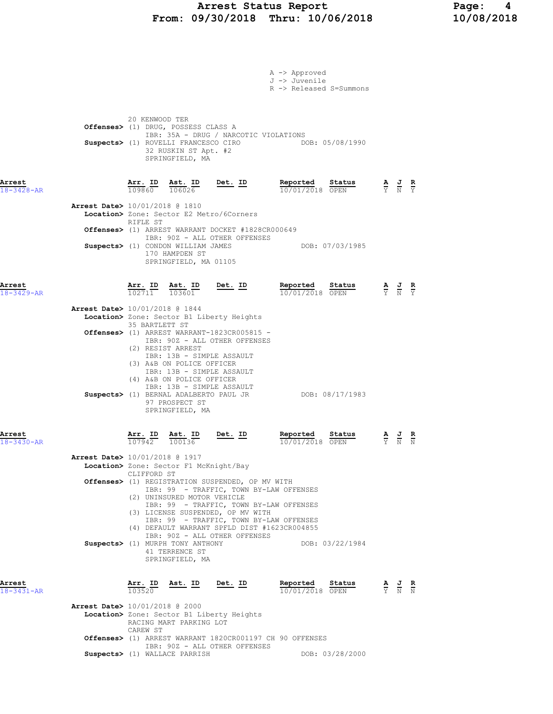### Arrest Status Report Page: 4 From: 09/30/2018 Thru: 10/06/2018 10/08/2018

|                            |                                |                              |                                                                                                                        |                                                                                                                                        | A -> Approved<br>J -> Juvenile<br>R -> Released S=Summons                                                                          |                                                                                                 |                                                                                                 |  |
|----------------------------|--------------------------------|------------------------------|------------------------------------------------------------------------------------------------------------------------|----------------------------------------------------------------------------------------------------------------------------------------|------------------------------------------------------------------------------------------------------------------------------------|-------------------------------------------------------------------------------------------------|-------------------------------------------------------------------------------------------------|--|
|                            |                                | 20 KENWOOD TER               | Offenses> (1) DRUG, POSSESS CLASS A<br>Suspects> (1) ROVELLI FRANCESCO CIRO<br>32 RUSKIN ST Apt. #2<br>SPRINGFIELD, MA | IBR: 35A - DRUG / NARCOTIC VIOLATIONS                                                                                                  | DOB: 05/08/1990                                                                                                                    |                                                                                                 |                                                                                                 |  |
| Arrest<br>18-3428-AR       |                                |                              |                                                                                                                        | $\frac{\texttt{Arr. ID}}{109860}$ $\frac{\texttt{ Ast. ID}}{106026}$ Det. ID                                                           | Reported Status<br>10/01/2018 OPEN                                                                                                 | $\frac{\mathbf{A}}{\mathbf{Y}}$ $\frac{\mathbf{J}}{\mathbf{N}}$ $\frac{\mathbf{R}}{\mathbf{Y}}$ |                                                                                                 |  |
|                            | Arrest Date> 10/01/2018 @ 1810 | RIFLE ST                     |                                                                                                                        | Location> Zone: Sector E2 Metro/6Corners                                                                                               |                                                                                                                                    |                                                                                                 |                                                                                                 |  |
|                            |                                |                              |                                                                                                                        | Offenses> (1) ARREST WARRANT DOCKET #1828CR000649                                                                                      |                                                                                                                                    |                                                                                                 |                                                                                                 |  |
|                            |                                |                              | 170 HAMPDEN ST<br>SPRINGFIELD, MA 01105                                                                                | IBR: 90Z - ALL OTHER OFFENSES<br>Suspects> (1) CONDON WILLIAM JAMES                                                                    | DOB: 07/03/1985                                                                                                                    |                                                                                                 |                                                                                                 |  |
| Arrest<br>$18 - 3429 - AR$ |                                | Arr. ID                      | Ast. ID<br>$\overline{102711}$ $\overline{103601}$                                                                     | $Det. ID$                                                                                                                              | Reported<br>Status<br>10/01/2018 OPEN                                                                                              |                                                                                                 | $\frac{\mathbf{A}}{\mathbf{Y}}$ $\frac{\mathbf{J}}{\mathbf{N}}$ $\frac{\mathbf{R}}{\mathbf{Y}}$ |  |
|                            | Arrest Date> 10/01/2018 @ 1844 | 35 BARTLETT ST               |                                                                                                                        | Location> Zone: Sector B1 Liberty Heights                                                                                              |                                                                                                                                    |                                                                                                 |                                                                                                 |  |
|                            |                                |                              | (2) RESIST ARREST<br>(3) A&B ON POLICE OFFICER                                                                         | Offenses> (1) ARREST WARRANT-1823CR005815 -<br>IBR: 90Z - ALL OTHER OFFENSES<br>IBR: 13B - SIMPLE ASSAULT<br>IBR: 13B - SIMPLE ASSAULT |                                                                                                                                    |                                                                                                 |                                                                                                 |  |
|                            |                                |                              | (4) A&B ON POLICE OFFICER<br>97 PROSPECT ST<br>SPRINGFIELD, MA                                                         | IBR: 13B - SIMPLE ASSAULT                                                                                                              |                                                                                                                                    |                                                                                                 |                                                                                                 |  |
| Arrest<br>18-3430-AR       |                                | $\frac{\text{Arr.}}{107942}$ | Ast. ID<br>100136                                                                                                      | <u>Det. ID</u>                                                                                                                         | Reported<br>Status<br>10/01/2018 OPEN                                                                                              |                                                                                                 |                                                                                                 |  |
|                            | Arrest Date> 10/01/2018 @ 1917 | CLIFFORD ST                  | Location> Zone: Sector F1 McKnight/Bay                                                                                 |                                                                                                                                        |                                                                                                                                    |                                                                                                 |                                                                                                 |  |
|                            |                                |                              | (2) UNINSURED MOTOR VEHICLE                                                                                            | Offenses> (1) REGISTRATION SUSPENDED, OP MV WITH                                                                                       | IBR: 99 - TRAFFIC, TOWN BY-LAW OFFENSES                                                                                            |                                                                                                 |                                                                                                 |  |
|                            |                                |                              |                                                                                                                        | (3) LICENSE SUSPENDED, OP MV WITH                                                                                                      | IBR: 99 - TRAFFIC, TOWN BY-LAW OFFENSES<br>IBR: 99 - TRAFFIC, TOWN BY-LAW OFFENSES<br>(4) DEFAULT WARRANT SPFLD DIST #1623CR004855 |                                                                                                 |                                                                                                 |  |
|                            |                                |                              | Suspects> (1) MURPH TONY ANTHONY<br>41 TERRENCE ST<br>SPRINGFIELD, MA                                                  | IBR: 90Z - ALL OTHER OFFENSES                                                                                                          | DOB: 03/22/1984                                                                                                                    |                                                                                                 |                                                                                                 |  |
| Arrest<br>$18 - 3431 - AR$ |                                | Arr. ID<br>103520            | Ast. ID                                                                                                                | Det. ID                                                                                                                                | Reported<br>Status<br>10/01/2018 OPEN                                                                                              |                                                                                                 | $\frac{\mathbf{A}}{\mathbf{Y}}$ $\frac{\mathbf{J}}{\mathbf{N}}$ $\frac{\mathbf{R}}{\mathbf{N}}$ |  |
|                            | Arrest Date> 10/01/2018 @ 2000 |                              |                                                                                                                        | Location> Zone: Sector B1 Liberty Heights                                                                                              |                                                                                                                                    |                                                                                                 |                                                                                                 |  |
|                            |                                | CAREW ST                     | RACING MART PARKING LOT                                                                                                |                                                                                                                                        |                                                                                                                                    |                                                                                                 |                                                                                                 |  |
|                            |                                |                              |                                                                                                                        | IBR: 90Z - ALL OTHER OFFENSES                                                                                                          | Offenses> (1) ARREST WARRANT 1820CR001197 CH 90 OFFENSES                                                                           |                                                                                                 |                                                                                                 |  |
|                            |                                |                              | Suspects> (1) WALLACE PARRISH                                                                                          |                                                                                                                                        | DOB: 03/28/2000                                                                                                                    |                                                                                                 |                                                                                                 |  |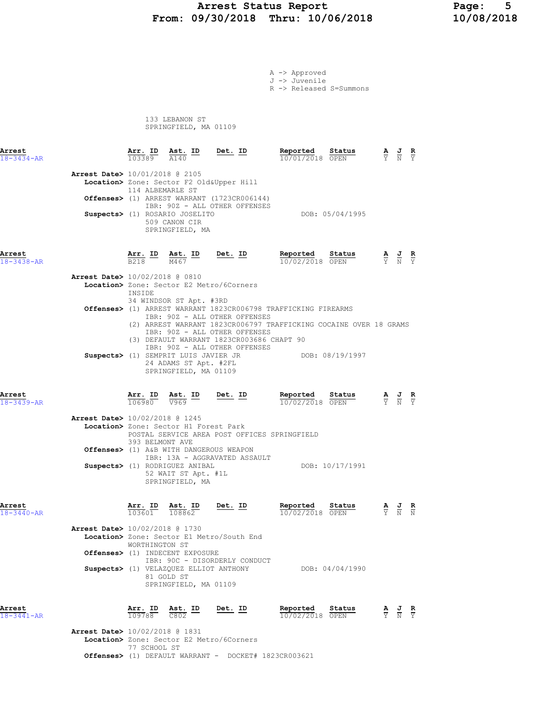## Arrest Status Report 10/06/2018 Page: 5<br>10/08/2018 Thru: 10/06/2018 10/08/2018 From: 09/30/2018 Thru: 10/06/2018

|                                          |                  |                                                                                                                            |                                                                                                                | A -> Approved<br>J -> Juvenile<br>R -> Released S=Summons                                                                           |                 |                                                                                                 |  |
|------------------------------------------|------------------|----------------------------------------------------------------------------------------------------------------------------|----------------------------------------------------------------------------------------------------------------|-------------------------------------------------------------------------------------------------------------------------------------|-----------------|-------------------------------------------------------------------------------------------------|--|
|                                          |                  | 133 LEBANON ST<br>SPRINGFIELD, MA 01109                                                                                    |                                                                                                                |                                                                                                                                     |                 |                                                                                                 |  |
| Arrest<br>$18 - 3434 - AR$               |                  |                                                                                                                            | $\frac{\texttt{Arr.}}{103389}$ $\frac{\texttt{ Ast.}}{A140}$ $\frac{\texttt{ID}}{B}$ $\frac{\texttt{Det.}}{B}$ | Reported                                                                                                                            |                 |                                                                                                 |  |
| <b>Arrest Date&gt;</b> 10/01/2018 @ 2105 | 114 ALBEMARLE ST |                                                                                                                            | Location> Zone: Sector F2 Old&Upper Hill                                                                       |                                                                                                                                     |                 |                                                                                                 |  |
|                                          |                  | Suspects> (1) ROSARIO JOSELITO                                                                                             | Offenses> (1) ARREST WARRANT (1723CR006144)<br>IBR: 90Z - ALL OTHER OFFENSES                                   |                                                                                                                                     | DOB: 05/04/1995 |                                                                                                 |  |
|                                          |                  | 509 CANON CIR<br>SPRINGFIELD, MA                                                                                           |                                                                                                                |                                                                                                                                     |                 |                                                                                                 |  |
| Arrest<br>$18 - 3438 - AR$               |                  |                                                                                                                            | $\frac{\texttt{Arr.}}{\texttt{B218}}$ ID $\frac{\texttt{Ast.}}{\texttt{M467}}$ ID Det. ID                      | Reported Status<br>10/02/2018 OPEN                                                                                                  |                 | $\frac{\mathbf{A}}{\mathbf{Y}}$ $\frac{\mathbf{J}}{\mathbf{N}}$ $\frac{\mathbf{R}}{\mathbf{Y}}$ |  |
| Arrest Date> 10/02/2018 @ 0810           | INSIDE           |                                                                                                                            | Location> Zone: Sector E2 Metro/6Corners                                                                       |                                                                                                                                     |                 |                                                                                                 |  |
|                                          |                  | 34 WINDSOR ST Apt. #3RD                                                                                                    | IBR: 90Z - ALL OTHER OFFENSES<br>IBR: 90Z - ALL OTHER OFFENSES<br>(3) DEFAULT WARRANT 1823CR003686 CHAPT 90    | Offenses> (1) ARREST WARRANT 1823CR006798 TRAFFICKING FIREARMS<br>(2) ARREST WARRANT 1823CR006797 TRAFFICKING COCAINE OVER 18 GRAMS |                 |                                                                                                 |  |
|                                          |                  | 24 ADAMS ST Apt. #2FL<br>SPRINGFIELD, MA 01109                                                                             | IBR: 90Z - ALL OTHER OFFENSES                                                                                  | Suspects> (1) SEMPRIT LUIS JAVIER JR DOB: 08/19/1997                                                                                |                 |                                                                                                 |  |
| Arrest<br>$18 - 3439 - AR$               |                  |                                                                                                                            | $\frac{\texttt{Arr. ID}}{106980}$ $\frac{\texttt{ Ast. ID}}{\sqrt{969}}$ $\frac{\texttt{Det. ID}}{\sqrt{969}}$ | Reported Status<br>10/02/2018 OPEN                                                                                                  |                 | $\frac{\mathbf{A}}{\mathbf{Y}}$ $\frac{\mathbf{J}}{\mathbf{N}}$ $\frac{\mathbf{R}}{\mathbf{Y}}$ |  |
| Arrest Date> 10/02/2018 @ 1245           | 393 BELMONT AVE  | Location> Zone: Sector H1 Forest Park                                                                                      | POSTAL SERVICE AREA POST OFFICES SPRINGFIELD                                                                   |                                                                                                                                     |                 |                                                                                                 |  |
|                                          |                  | Suspects> (1) RODRIGUEZ ANIBAL<br>52 WAIT ST Apt. #1L<br>SPRINGFIELD, MA                                                   | Offenses> (1) A&B WITH DANGEROUS WEAPON<br>IBR: 13A - AGGRAVATED ASSAULT                                       |                                                                                                                                     | DOB: 10/17/1991 |                                                                                                 |  |
| Arrest<br>$18 - 3440 - AR$               |                  |                                                                                                                            | $\frac{\texttt{Arr. ID}}{103601}$ $\frac{\texttt{ Ast. ID}}{108862}$ Det. ID                                   | Reported Status<br>10/02/2018 OPEN                                                                                                  |                 | $\frac{\mathbf{A}}{\mathbf{Y}}$ $\frac{\mathbf{J}}{\mathbf{N}}$ $\frac{\mathbf{R}}{\mathbf{N}}$ |  |
| Arrest Date> 10/02/2018 @ 1730           | WORTHINGTON ST   |                                                                                                                            | Location> Zone: Sector E1 Metro/South End                                                                      |                                                                                                                                     |                 |                                                                                                 |  |
|                                          |                  | <b>Offenses&gt;</b> (1) INDECENT EXPOSURE<br>Suspects> (1) VELAZQUEZ ELLIOT ANTHONY<br>81 GOLD ST<br>SPRINGFIELD, MA 01109 | IBR: 90C - DISORDERLY CONDUCT                                                                                  |                                                                                                                                     | DOB: 04/04/1990 |                                                                                                 |  |
| Arrest<br>$18 - 3441 - AR$               |                  | $\frac{\texttt{Arr.}}{109788}$ $\frac{\texttt{ Ast.}}{C802}$ $\frac{\texttt{ID}}{C802}$                                    | Det. ID                                                                                                        | Reported Status<br>$10/02/2018$ OPEN                                                                                                |                 | $\frac{\mathbf{A}}{\mathbf{Y}}$ $\frac{\mathbf{J}}{\mathbf{N}}$ $\frac{\mathbf{R}}{\mathbf{Y}}$ |  |

 Arrest Date> 10/02/2018 @ 1831 Location> Zone: Sector E2 Metro/6Corners 77 SCHOOL ST Offenses> (1) DEFAULT WARRANT - DOCKET# 1823CR003621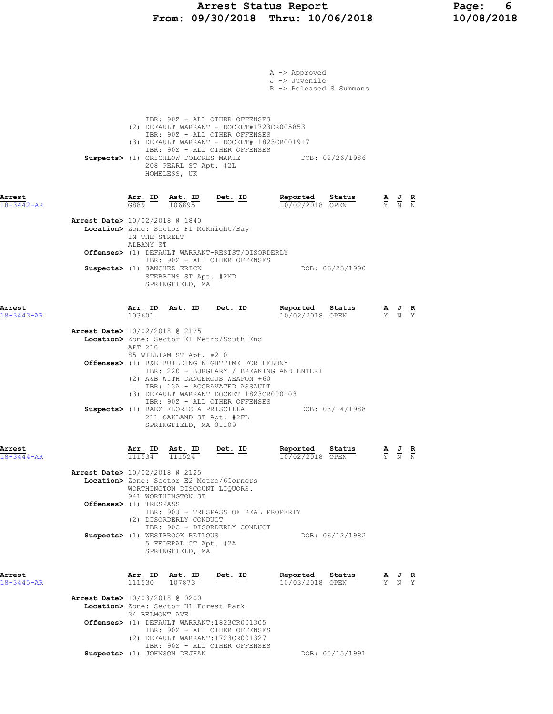### Arrest Status Report Page: 6 From: 09/30/2018 Thru: 10/06/2018 10/08/2018

|                            |                                          |                            |                                                                                            |                                                                                                                                                                                                                                    | A -> Approved<br>J -> Juvenile<br>R -> Released S=Summons |                 |                                                                                                 |                                                                                                       |  |
|----------------------------|------------------------------------------|----------------------------|--------------------------------------------------------------------------------------------|------------------------------------------------------------------------------------------------------------------------------------------------------------------------------------------------------------------------------------|-----------------------------------------------------------|-----------------|-------------------------------------------------------------------------------------------------|-------------------------------------------------------------------------------------------------------|--|
|                            |                                          |                            | 208 PEARL ST Apt. #2L<br>HOMELESS, UK                                                      | IBR: 90Z - ALL OTHER OFFENSES<br>(2) DEFAULT WARRANT - DOCKET#1723CR005853<br>IBR: 90Z - ALL OTHER OFFENSES<br>(3) DEFAULT WARRANT - DOCKET# 1823CR001917<br>IBR: 90Z - ALL OTHER OFFENSES<br>Suspects> (1) CRICHLOW DOLORES MARIE |                                                           | DOB: 02/26/1986 |                                                                                                 |                                                                                                       |  |
| Arrest<br>$18 - 3442 - AR$ |                                          |                            | $\frac{\text{Arr. ID}}{\text{G889}}$ $\frac{\text{Ast. ID}}{106895}$                       | $Det. ID$                                                                                                                                                                                                                          | Reported<br>10/02/2018 OPEN                               | Status          | $\frac{\mathbf{A}}{\mathbf{Y}}$ $\frac{\mathbf{J}}{\mathbf{N}}$ $\frac{\mathbf{R}}{\mathbf{N}}$ |                                                                                                       |  |
|                            | Arrest Date> 10/02/2018 @ 1840           | IN THE STREET<br>ALBANY ST | Location> Zone: Sector F1 McKnight/Bay                                                     |                                                                                                                                                                                                                                    |                                                           |                 |                                                                                                 |                                                                                                       |  |
|                            | Suspects> (1) SANCHEZ ERICK              |                            | STEBBINS ST Apt. #2ND                                                                      | <b>Offenses&gt;</b> (1) DEFAULT WARRANT-RESIST/DISORDERLY<br>IBR: 90Z - ALL OTHER OFFENSES                                                                                                                                         |                                                           | DOB: 06/23/1990 |                                                                                                 |                                                                                                       |  |
|                            |                                          |                            | SPRINGFIELD, MA                                                                            |                                                                                                                                                                                                                                    |                                                           |                 |                                                                                                 |                                                                                                       |  |
| Arrest<br>$18 - 3443 - AR$ |                                          | Arr. ID<br>103601          |                                                                                            | Ast. ID Det. ID                                                                                                                                                                                                                    | Reported Status<br>10/02/2018 OPEN                        |                 |                                                                                                 | $\frac{\mathbf{A}}{\overline{Y}}$ $\frac{\mathbf{J}}{\overline{N}}$ $\frac{\mathbf{R}}{\overline{Y}}$ |  |
|                            | <b>Arrest Date&gt;</b> 10/02/2018 @ 2125 | APT 210                    |                                                                                            | Location> Zone: Sector E1 Metro/South End                                                                                                                                                                                          |                                                           |                 |                                                                                                 |                                                                                                       |  |
|                            |                                          |                            | 85 WILLIAM ST Apt. #210                                                                    | Offenses> (1) B&E BUILDING NIGHTTIME FOR FELONY<br>IBR: 220 - BURGLARY / BREAKING AND ENTERI<br>(2) A&B WITH DANGEROUS WEAPON +60<br>IBR: 13A - AGGRAVATED ASSAULT                                                                 |                                                           |                 |                                                                                                 |                                                                                                       |  |
|                            |                                          |                            | Suspects> (1) BAEZ FLORICIA PRISCILLA<br>211 OAKLAND ST Apt. #2FL<br>SPRINGFIELD, MA 01109 | (3) DEFAULT WARRANT DOCKET 1823CR000103<br>IBR: 90Z - ALL OTHER OFFENSES                                                                                                                                                           | DOB: 03/14/1988                                           |                 |                                                                                                 |                                                                                                       |  |
| Arrest<br>$18 - 3444 - AR$ |                                          |                            | Arr. ID Ast. ID<br>$\overline{111534}$ $\overline{111524}$                                 | <b>Det. ID</b><br>- --                                                                                                                                                                                                             | Reported<br>10/02/2018 OPEN                               | Status A J R    |                                                                                                 | Y N N                                                                                                 |  |
|                            | <b>Arrest Date&gt;</b> 10/02/2018 @ 2125 |                            | WORTHINGTON DISCOUNT LIOUORS.<br>941 WORTHINGTON ST                                        | Location> Zone: Sector E2 Metro/6Corners                                                                                                                                                                                           |                                                           |                 |                                                                                                 |                                                                                                       |  |
|                            | Offenses> (1) TRESPASS                   |                            | (2) DISORDERLY CONDUCT                                                                     | IBR: 90J - TRESPASS OF REAL PROPERTY                                                                                                                                                                                               |                                                           |                 |                                                                                                 |                                                                                                       |  |
|                            |                                          |                            | Suspects> (1) WESTBROOK REILOUS<br>5 FEDERAL CT Apt. #2A<br>SPRINGFIELD, MA                | IBR: 90C - DISORDERLY CONDUCT                                                                                                                                                                                                      |                                                           | DOB: 06/12/1982 |                                                                                                 |                                                                                                       |  |
| Arrest<br>$18 - 3445 - AR$ |                                          |                            | Arr. ID Ast. ID<br>111530 107873                                                           | <u>Det. ID</u>                                                                                                                                                                                                                     | Reported<br>10/03/2018 OPEN                               | Status          |                                                                                                 | $\frac{\mathbf{A}}{\mathbf{Y}}$ $\frac{\mathbf{J}}{\mathbf{N}}$ $\frac{\mathbf{R}}{\mathbf{Y}}$       |  |
|                            | <b>Arrest Date&gt;</b> 10/03/2018 @ 0200 | 34 BELMONT AVE             | Location> Zone: Sector H1 Forest Park                                                      |                                                                                                                                                                                                                                    |                                                           |                 |                                                                                                 |                                                                                                       |  |
|                            |                                          |                            |                                                                                            | Offenses> (1) DEFAULT WARRANT:1823CR001305<br>IBR: 90Z - ALL OTHER OFFENSES<br>(2) DEFAULT WARRANT: 1723CR001327<br>IBR: 90Z - ALL OTHER OFFENSES                                                                                  |                                                           |                 |                                                                                                 |                                                                                                       |  |
|                            |                                          |                            | Suspects> (1) JOHNSON DEJHAN                                                               |                                                                                                                                                                                                                                    |                                                           | DOB: 05/15/1991 |                                                                                                 |                                                                                                       |  |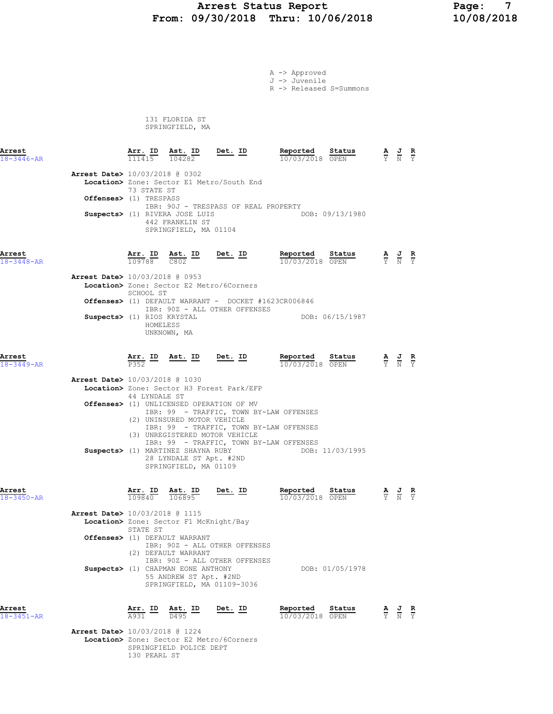## Arrest Status Report Page: 7 From: 09/30/2018 Thru: 10/06/2018

|                            |                                                                                                                                             |                                                                                 |                                                                                                                                                                 | A -> Approved                            |                               |                                                                                                 |  |
|----------------------------|---------------------------------------------------------------------------------------------------------------------------------------------|---------------------------------------------------------------------------------|-----------------------------------------------------------------------------------------------------------------------------------------------------------------|------------------------------------------|-------------------------------|-------------------------------------------------------------------------------------------------|--|
|                            |                                                                                                                                             |                                                                                 |                                                                                                                                                                 | J -> Juvenile<br>R -> Released S=Summons |                               |                                                                                                 |  |
|                            |                                                                                                                                             | 131 FLORIDA ST<br>SPRINGFIELD, MA                                               |                                                                                                                                                                 |                                          |                               |                                                                                                 |  |
| Arrest<br>$18 - 3446 - AR$ |                                                                                                                                             | Arr. ID Ast. ID<br>$\overline{111415}$ $\overline{104282}$                      | $Det. ID$                                                                                                                                                       | Reported<br>Status<br>10/03/2018 OPEN    |                               | $\frac{\mathbf{A}}{\mathbf{Y}}$ $\frac{\mathbf{J}}{\mathbf{N}}$ $\frac{\mathbf{R}}{\mathbf{Y}}$ |  |
|                            | <b>Arrest Date&gt;</b> 10/03/2018 @ 0302<br>Location> Zone: Sector E1 Metro/South End<br>73 STATE ST<br>Offenses> (1) TRESPASS              |                                                                                 |                                                                                                                                                                 |                                          |                               |                                                                                                 |  |
|                            | Suspects> (1) RIVERA JOSE LUIS                                                                                                              | 442 FRANKLIN ST<br>SPRINGFIELD, MA 01104                                        | IBR: 90J - TRESPASS OF REAL PROPERTY                                                                                                                            | DOB: 09/13/1980                          |                               |                                                                                                 |  |
| Arrest<br>$18 - 3448 - AR$ |                                                                                                                                             | 109788 C802                                                                     | $\frac{\text{Arr. ID}}{\text{max}}$ $\frac{\text{Ast. ID}}{\text{max}}$ $\frac{\text{ID}}{\text{max}}$ $\frac{\text{Det. ID}}{\text{max}}$                      | Reported Status<br>10/03/2018 OPEN       |                               | $\frac{\mathbf{A}}{\mathbf{Y}}$ $\frac{\mathbf{J}}{\mathbf{N}}$ $\frac{\mathbf{R}}{\mathbf{Y}}$ |  |
|                            | <b>Arrest Date&gt;</b> 10/03/2018 @ 0953<br>Location> Zone: Sector E2 Metro/6Corners<br>SCHOOL ST<br>Suspects> (1) RIOS KRYSTAL<br>HOMELESS | UNKNOWN, MA                                                                     | <b>Offenses&gt;</b> (1) DEFAULT WARRANT - DOCKET #1623CR006846<br>IBR: 90Z - ALL OTHER OFFENSES                                                                 | DOB: 06/15/1987                          |                               |                                                                                                 |  |
| Arrest<br>18-3449-AR       | P352                                                                                                                                        | <u>Arr. ID Ast. ID Det. ID</u>                                                  |                                                                                                                                                                 | Reported Status<br>$10/03/2018$ OPEN     |                               | $\frac{\mathbf{A}}{\mathbf{Y}}$ $\frac{\mathbf{J}}{\mathbf{N}}$ $\frac{\mathbf{R}}{\mathbf{Y}}$ |  |
|                            | Arrest Date> 10/03/2018 @ 1030<br>Location> Zone: Sector H3 Forest Park/EFP<br>44 LYNDALE ST                                                |                                                                                 |                                                                                                                                                                 |                                          |                               |                                                                                                 |  |
|                            | Offenses> (1) UNLICENSED OPERATION OF MV<br>Suspects> (1) MARTINEZ SHAYNA RUBY                                                              | (2) UNINSURED MOTOR VEHICLE<br>28 LYNDALE ST Apt. #2ND<br>SPRINGFIELD, MA 01109 | IBR: 99 - TRAFFIC, TOWN BY-LAW OFFENSES<br>IBR: 99 - TRAFFIC, TOWN BY-LAW OFFENSES<br>(3) UNREGISTERED MOTOR VEHICLE<br>IBR: 99 - TRAFFIC, TOWN BY-LAW OFFENSES | DOB: 11/03/1995                          |                               |                                                                                                 |  |
| Arrest<br>18-3450-AR       | 109840 106895                                                                                                                               | Arr. ID Ast. ID                                                                 | Det. ID                                                                                                                                                         | Reported<br>Status<br>10/03/2018 OPEN    |                               | $\frac{\mathbf{A}}{\mathbf{Y}}$ $\frac{\mathbf{J}}{\mathbf{N}}$ $\frac{\mathbf{R}}{\mathbf{Y}}$ |  |
|                            | <b>Arrest Date&gt;</b> 10/03/2018 @ 1115<br>Location> Zone: Sector F1 McKnight/Bay<br>STATE ST                                              |                                                                                 |                                                                                                                                                                 |                                          |                               |                                                                                                 |  |
|                            | Offenses> (1) DEFAULT WARRANT<br>Suspects> (1) CHAPMAN EONE ANTHONY                                                                         | (2) DEFAULT WARRANT<br>55 ANDREW ST Apt. #2ND                                   | IBR: 90Z - ALL OTHER OFFENSES<br>IBR: 90Z - ALL OTHER OFFENSES                                                                                                  | DOB: 01/05/1978                          |                               |                                                                                                 |  |
| Arrest<br>$18 - 3451 - AR$ | Arr. ID<br>A931                                                                                                                             | Ast. ID<br>D495                                                                 | SPRINGFIELD, MA 01109-3036<br>Det. ID                                                                                                                           | Reported<br>Status<br>10/03/2018 OPEN    | $rac{\mathbf{A}}{\mathbf{Y}}$ | $\frac{J}{N}$ $\frac{R}{Y}$                                                                     |  |

 Arrest Date> 10/03/2018 @ 1224 Location> Zone: Sector E2 Metro/6Corners SPRINGFIELD POLICE DEPT 130 PEARL ST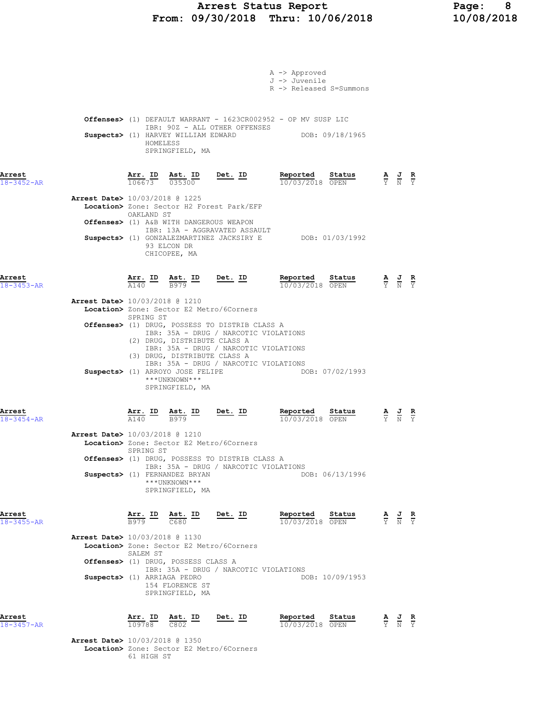#### Arrest Status Report Page: 8 From: 09/30/2018 Thru: 10/06/2018 10/08/2018

|                                          |                                |          |                                                                                                                                                                                         |                | A -> Approved<br>J -> Juvenile                                            |                 |                                                                                                       |  |
|------------------------------------------|--------------------------------|----------|-----------------------------------------------------------------------------------------------------------------------------------------------------------------------------------------|----------------|---------------------------------------------------------------------------|-----------------|-------------------------------------------------------------------------------------------------------|--|
|                                          |                                |          |                                                                                                                                                                                         |                | R -> Released S=Summons                                                   |                 |                                                                                                       |  |
|                                          |                                |          |                                                                                                                                                                                         |                | <b>Offenses&gt;</b> (1) DEFAULT WARRANT - $1623CR002952$ - OP MV SUSP LIC |                 |                                                                                                       |  |
|                                          |                                | HOMELESS | IBR: 90Z - ALL OTHER OFFENSES<br>Suspects> (1) HARVEY WILLIAM EDWARD<br>SPRINGFIELD, MA                                                                                                 |                |                                                                           | DOB: 09/18/1965 |                                                                                                       |  |
| Arrest<br>$18 - 3452 - AR$               |                                |          | Arr. ID Ast. ID<br>$106673$ $035300$                                                                                                                                                    | <u>Det. ID</u> | Reported<br>10/03/2018 OPEN                                               | Status          | $\frac{\mathbf{A}}{\mathbf{Y}}$ $\frac{\mathbf{J}}{\mathbf{N}}$ $\frac{\mathbf{R}}{\mathbf{Y}}$       |  |
| Arrest Date> 10/03/2018 @ 1225           | OAKLAND ST                     |          | Location> Zone: Sector H2 Forest Park/EFP                                                                                                                                               |                |                                                                           |                 |                                                                                                       |  |
|                                          |                                |          | Offenses> (1) A&B WITH DANGEROUS WEAPON                                                                                                                                                 |                |                                                                           |                 |                                                                                                       |  |
|                                          |                                |          | IBR: 13A - AGGRAVATED ASSAULT<br>93 ELCON DR<br>CHICOPEE, MA                                                                                                                            |                | Suspects> (1) GONZALEZMARTINEZ JACKSIRY E DOB: 01/03/1992                 |                 |                                                                                                       |  |
| Arrest<br>$18 - 3453 - AR$               |                                |          | $\frac{\texttt{Arr.}}{\text{Al}40}$ ID $\frac{\texttt{ Ast.}}{\text{B}979}$ ID Det. ID                                                                                                  |                | Reported<br>10/03/2018 OPEN                                               | Status          | $\frac{\mathbf{A}}{\mathbf{Y}}$ $\frac{\mathbf{J}}{\mathbf{N}}$ $\frac{\mathbf{R}}{\mathbf{Y}}$       |  |
| Arrest Date> 10/03/2018 @ 1210           |                                |          | Location> Zone: Sector E2 Metro/6Corners                                                                                                                                                |                |                                                                           |                 |                                                                                                       |  |
|                                          | SPRING ST                      |          | Offenses> (1) DRUG, POSSESS TO DISTRIB CLASS A                                                                                                                                          |                |                                                                           |                 |                                                                                                       |  |
|                                          |                                |          | IBR: 35A - DRUG / NARCOTIC VIOLATIONS<br>(2) DRUG, DISTRIBUTE CLASS A<br>IBR: 35A - DRUG / NARCOTIC VIOLATIONS<br>(3) DRUG, DISTRIBUTE CLASS A<br>IBR: 35A - DRUG / NARCOTIC VIOLATIONS |                |                                                                           |                 |                                                                                                       |  |
|                                          |                                |          | Suspects> (1) ARROYO JOSE FELIPE<br>***UNKNOWN***<br>SPRINGFIELD, MA                                                                                                                    |                | DOB: 07/02/1993                                                           |                 |                                                                                                       |  |
| Arrest<br>$18 - 3454 - AR$               |                                |          | $\frac{\texttt{Arr.}}{\text{A140}}$ ID $\frac{\texttt{Ast.}}{\text{B979}}$ ID Det. ID                                                                                                   |                | Reported<br>10/03/2018 OPEN                                               | Status          | $\frac{\mathbf{A}}{\mathbf{Y}}$ $\frac{\mathbf{J}}{\mathbf{N}}$ $\frac{\mathbf{R}}{\mathbf{Y}}$       |  |
| <b>Arrest Date&gt;</b> 10/03/2018 @ 1210 | SPRING ST                      |          | Location> Zone: Sector E2 Metro/6Corners                                                                                                                                                |                |                                                                           |                 |                                                                                                       |  |
|                                          |                                |          | Offenses> (1) DRUG, POSSESS TO DISTRIB CLASS A<br>IBR: 35A - DRUG / NARCOTIC VIOLATIONS<br>Suspects> (1) FERNANDEZ BRYAN                                                                |                |                                                                           | DOB: 06/13/1996 |                                                                                                       |  |
|                                          |                                |          | ***UNKNOWN***<br>SPRINGFIELD, MA                                                                                                                                                        |                |                                                                           |                 |                                                                                                       |  |
| Arrest<br>$18 - 3455 - AR$               |                                |          | $\frac{\text{Arr.}}{\text{B979}}$ ID $\frac{\text{Ast.}}{\text{C680}}$ ID Det. ID                                                                                                       |                | Reported<br>10/03/2018 OPEN                                               | Status          | $\frac{\mathbf{A}}{\mathbf{Y}}$ $\frac{\mathbf{J}}{\mathbf{N}}$ $\frac{\mathbf{R}}{\mathbf{Y}}$       |  |
| <b>Arrest Date&gt;</b> 10/03/2018 @ 1130 | SALEM ST                       |          | Location> Zone: Sector E2 Metro/6Corners                                                                                                                                                |                |                                                                           |                 |                                                                                                       |  |
|                                          |                                |          | Offenses> (1) DRUG, POSSESS CLASS A<br>IBR: 35A - DRUG / NARCOTIC VIOLATIONS                                                                                                            |                |                                                                           |                 |                                                                                                       |  |
| Suspects> (1) ARRIAGA PEDRO              |                                |          | 154 FLORENCE ST<br>SPRINGFIELD, MA                                                                                                                                                      |                |                                                                           | DOB: 10/09/1953 |                                                                                                       |  |
| Arrest<br>18-3457-AR                     | $\frac{\texttt{Arr.}}{109788}$ |          | $\frac{\texttt{Ast.}}{\texttt{C802}}$ ID                                                                                                                                                | <u>Det.</u> ID | Reported<br>10/03/2018 OPEN                                               | Status          | $\frac{\mathbf{A}}{\overline{Y}}$ $\frac{\mathbf{J}}{\overline{N}}$ $\frac{\mathbf{R}}{\overline{Y}}$ |  |
| <b>Arrest Date&gt;</b> 10/03/2018 @ 1350 |                                |          | Location> Zone: Sector E2 Metro/6Corners                                                                                                                                                |                |                                                                           |                 |                                                                                                       |  |

61 HIGH ST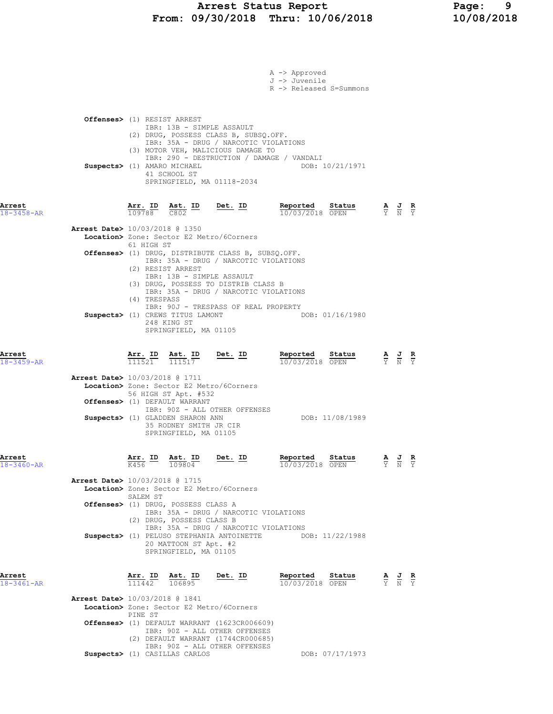|                                          |         |                          |                                                                                                                                              |                                                                                                                                                                                                                                                       | A -> Approved<br>J -> Juvenile<br>R -> Released S=Summons |                 |                                                                                                       |  |
|------------------------------------------|---------|--------------------------|----------------------------------------------------------------------------------------------------------------------------------------------|-------------------------------------------------------------------------------------------------------------------------------------------------------------------------------------------------------------------------------------------------------|-----------------------------------------------------------|-----------------|-------------------------------------------------------------------------------------------------------|--|
| <b>Offenses&gt;</b> (1) RESIST ARREST    |         |                          |                                                                                                                                              | IBR: 13B - SIMPLE ASSAULT                                                                                                                                                                                                                             |                                                           |                 |                                                                                                       |  |
|                                          |         |                          | Suspects> (1) AMARO MICHAEL<br>41 SCHOOL ST                                                                                                  | (2) DRUG, POSSESS CLASS B, SUBSQ.OFF.<br>IBR: 35A - DRUG / NARCOTIC VIOLATIONS<br>(3) MOTOR VEH, MALICIOUS DAMAGE TO<br>IBR: 290 - DESTRUCTION / DAMAGE / VANDALI<br>SPRINGFIELD, MA 01118-2034                                                       |                                                           | DOB: 10/21/1971 |                                                                                                       |  |
| Arrest<br>$18 - 3458 - AR$               |         | Arr. <u>ID</u><br>109788 | $\frac{\text{Ast.}}{\text{C802}}$ ID<br>C802                                                                                                 | <u>Det. ID</u>                                                                                                                                                                                                                                        | Reported<br>10/03/2018 OPEN                               | Status          | $\frac{\mathbf{A}}{\overline{Y}}$ $\frac{\mathbf{J}}{\overline{N}}$ $\frac{\mathbf{R}}{\overline{Y}}$ |  |
| <b>Arrest Date&gt;</b> 10/03/2018 @ 1350 |         | 61 HIGH ST               | (2) RESIST ARREST                                                                                                                            | Location> Zone: Sector E2 Metro/6Corners<br>Offenses> (1) DRUG, DISTRIBUTE CLASS B, SUBSQ.OFF.<br>IBR: 35A - DRUG / NARCOTIC VIOLATIONS<br>IBR: 13B - SIMPLE ASSAULT<br>(3) DRUG, POSSESS TO DISTRIB CLASS B<br>IBR: 35A - DRUG / NARCOTIC VIOLATIONS |                                                           |                 |                                                                                                       |  |
|                                          |         | (4) TRESPASS             | Suspects> (1) CREWS TITUS LAMONT<br>248 KING ST<br>SPRINGFIELD, MA 01105                                                                     | IBR: 90J - TRESPASS OF REAL PROPERTY                                                                                                                                                                                                                  |                                                           | DOB: 01/16/1980 |                                                                                                       |  |
| Arrest<br>18-3459-AR                     | 111521  | Arr. ID                  | <u>Ast. ID</u><br>111517                                                                                                                     | Det. ID                                                                                                                                                                                                                                               | Reported<br>10/03/2018 OPEN                               | Status          | $\frac{\mathbf{A}}{\mathbf{Y}}$ $\frac{\mathbf{J}}{\mathbf{N}}$ $\frac{\mathbf{R}}{\mathbf{Y}}$       |  |
| <b>Arrest Date&gt;</b> 10/03/2018 @ 1711 |         |                          | 56 HIGH ST Apt. #532<br>Offenses> (1) DEFAULT WARRANT<br>Suspects> (1) GLADDEN SHARON ANN<br>35 RODNEY SMITH JR CIR<br>SPRINGFIELD, MA 01105 | Location> Zone: Sector E2 Metro/6Corners<br>IBR: 90Z - ALL OTHER OFFENSES                                                                                                                                                                             |                                                           | DOB: 11/08/1989 |                                                                                                       |  |
| Arrest<br>18-3460-AR                     |         |                          | $\frac{\texttt{Arr.}}{\text{K456}}$ ID $\frac{\texttt{ Ast.}}{109804}$<br>$\frac{12}{109804}$                                                | <u>Det.</u> ID                                                                                                                                                                                                                                        | Reported Status<br>10/03/2018 OPEN                        |                 | $\frac{\mathbf{A}}{\mathbf{Y}}$ $\frac{\mathbf{J}}{\mathbf{N}}$ $\frac{\mathbf{R}}{\mathbf{Y}}$       |  |
| <b>Arrest Date&gt;</b> 10/03/2018 @ 1715 |         | SALEM ST                 | Offenses> (1) DRUG, POSSESS CLASS A<br>(2) DRUG, POSSESS CLASS B                                                                             | Location> Zone: Sector E2 Metro/6Corners<br>IBR: 35A - DRUG / NARCOTIC VIOLATIONS<br>IBR: 35A - DRUG / NARCOTIC VIOLATIONS                                                                                                                            |                                                           |                 |                                                                                                       |  |
|                                          |         |                          | 20 MATTOON ST Apt. #2<br>SPRINGFIELD, MA 01105                                                                                               | Suspects> (1) PELUSO STEPHANIA ANTOINETTE DOB: 11/22/1988                                                                                                                                                                                             |                                                           |                 |                                                                                                       |  |
| Arrest<br>$18 - 3461 - AR$               |         |                          | Arr. ID Ast. ID<br>$\overline{111442}$ $\overline{106895}$                                                                                   | Det. ID                                                                                                                                                                                                                                               | Reported<br>10/03/2018 OPEN                               | Status          | $\frac{\mathbf{A}}{\mathbf{Y}}$ $\frac{\mathbf{J}}{\mathbf{N}}$ $\frac{\mathbf{R}}{\mathbf{Y}}$       |  |
| <b>Arrest Date&gt;</b> 10/03/2018 @ 1841 | PINE ST |                          | Suspects> (1) CASILLAS CARLOS                                                                                                                | Location> Zone: Sector E2 Metro/6Corners<br>Offenses> (1) DEFAULT WARRANT (1623CR006609)<br>IBR: 90Z - ALL OTHER OFFENSES<br>(2) DEFAULT WARRANT (1744CR000685)<br>IBR: 90Z - ALL OTHER OFFENSES                                                      |                                                           | DOB: 07/17/1973 |                                                                                                       |  |
|                                          |         |                          |                                                                                                                                              |                                                                                                                                                                                                                                                       |                                                           |                 |                                                                                                       |  |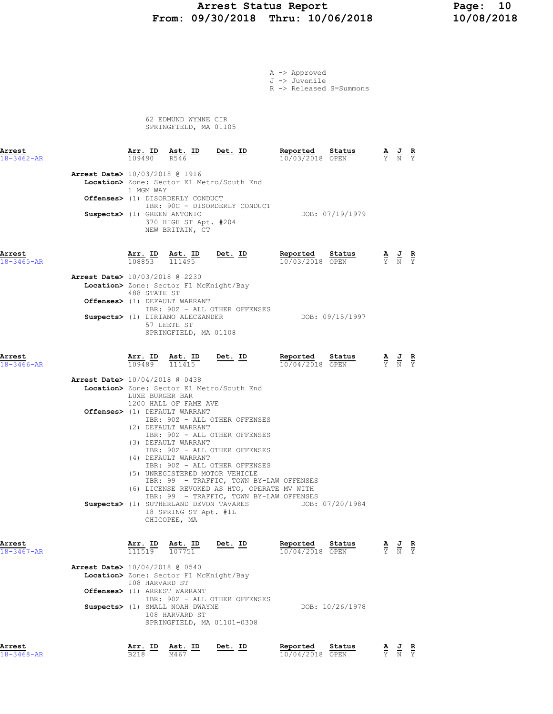## Arrest Status Report Page: 10<br>10/08/2018 Thru: 10/06/2018 10/08/2018 From: 09/30/2018 Thru: 10/06/2018

| A -> Approved |
|---------------|
| J -> Juvenile |

R -> Released S=Summons

 62 EDMUND WYNNE CIR SPRINGFIELD, MA 01105

| Arrest<br>$18 - 3462 - AR$ |                                                                         | 109490          | <u>Arr. ID Ast. ID</u><br>R546                                                                                                                                | Det. ID                                                                                                                                                                                                                  | Reported<br>10/03/2018 OPEN        | Status          | $\frac{\mathbf{A}}{\mathbf{Y}}$ $\frac{\mathbf{J}}{\mathbf{N}}$                                 |                                                                                                 | $rac{\mathbf{R}}{\mathbf{Y}}$ |
|----------------------------|-------------------------------------------------------------------------|-----------------|---------------------------------------------------------------------------------------------------------------------------------------------------------------|--------------------------------------------------------------------------------------------------------------------------------------------------------------------------------------------------------------------------|------------------------------------|-----------------|-------------------------------------------------------------------------------------------------|-------------------------------------------------------------------------------------------------|-------------------------------|
|                            | <b>Arrest Date&gt;</b> 10/03/2018 @ 1916<br>Suspects> (1) GREEN ANTONIO | 1 MGM WAY       | Offenses> (1) DISORDERLY CONDUCT<br>370 HIGH ST Apt. #204<br>NEW BRITAIN, CT                                                                                  | Location> Zone: Sector E1 Metro/South End<br>IBR: 90C - DISORDERLY CONDUCT                                                                                                                                               |                                    | DOB: 07/19/1979 |                                                                                                 |                                                                                                 |                               |
| Arrest<br>$18 - 3465 - AR$ |                                                                         |                 | $\frac{\texttt{Arr.}}{108853}$ $\frac{\texttt{ Ast.}}{111495}$                                                                                                | <u>Det. ID</u>                                                                                                                                                                                                           | Reported Status<br>10/03/2018 OPEN |                 | $\frac{\mathbf{A}}{\mathbf{Y}}$ $\frac{\mathbf{J}}{\mathbf{N}}$ $\frac{\mathbf{R}}{\mathbf{Y}}$ |                                                                                                 |                               |
|                            | <b>Arrest Date&gt;</b> 10/03/2018 @ 2230                                | 488 STATE ST    | Location> Zone: Sector F1 McKnight/Bay<br>Offenses> (1) DEFAULT WARRANT<br>Suspects> (1) LIRIANO ALECZANDER<br>57 LEETE ST<br>SPRINGFIELD, MA 01108           | IBR: 90Z - ALL OTHER OFFENSES                                                                                                                                                                                            |                                    | DOB: 09/15/1997 |                                                                                                 |                                                                                                 |                               |
| Arrest<br>$18 - 3466 - AR$ |                                                                         |                 | $\frac{\texttt{Arr.}}{109489}$ $\frac{\texttt{ Ast.}}{111415}$                                                                                                | $Det$ . ID                                                                                                                                                                                                               | Reported<br>10/04/2018 OPEN        | Status          |                                                                                                 | $\frac{\mathbf{A}}{\mathbf{Y}}$ $\frac{\mathbf{J}}{\mathbf{N}}$ $\frac{\mathbf{R}}{\mathbf{Y}}$ |                               |
|                            | <b>Arrest Date&gt;</b> 10/04/2018 @ 0438                                | LUXE BURGER BAR | 1200 HALL OF FAME AVE<br>Offenses> (1) DEFAULT WARRANT<br>(2) DEFAULT WARRANT<br>(3) DEFAULT WARRANT<br>(4) DEFAULT WARRANT<br>(5) UNREGISTERED MOTOR VEHICLE | Location> Zone: Sector E1 Metro/South End<br>IBR: 90Z - ALL OTHER OFFENSES<br>IBR: 90Z - ALL OTHER OFFENSES<br>IBR: 90Z - ALL OTHER OFFENSES<br>IBR: 90Z - ALL OTHER OFFENSES<br>IBR: 99 - TRAFFIC, TOWN BY-LAW OFFENSES |                                    |                 |                                                                                                 |                                                                                                 |                               |
|                            |                                                                         |                 | Suspects> (1) SUTHERLAND DEVON TAVARES<br>18 SPRING ST Apt. #1L<br>CHICOPEE, MA                                                                               | (6) LICENSE REVOKED AS HTO, OPERATE MV WITH<br>IBR: 99 - TRAFFIC, TOWN BY-LAW OFFENSES                                                                                                                                   |                                    | DOB: 07/20/1984 |                                                                                                 |                                                                                                 |                               |
| Arrest<br>$18 - 3467 - AR$ | <b>Arrest Date&gt;</b> 10/04/2018 @ 0540                                | Arr. ID         | Ast. ID<br>$\overline{111519}$ $\overline{107751}$                                                                                                            | Det. ID                                                                                                                                                                                                                  | Reported<br>10/04/2018 OPEN        | Status AJR      |                                                                                                 | $\overline{Y}$ $\overline{N}$ $\overline{Y}$                                                    |                               |
|                            |                                                                         | 108 HARVARD ST  | Location> Zone: Sector F1 McKnight/Bay<br>Offenses> (1) ARREST WARRANT<br>Suspects> (1) SMALL NOAH DWAYNE<br>108 HARVARD ST<br>SPRINGFIELD, MA 01101-0308     | IBR: 90Z - ALL OTHER OFFENSES                                                                                                                                                                                            |                                    | DOB: 10/26/1978 |                                                                                                 |                                                                                                 |                               |
| Arrest                     |                                                                         |                 | Arr. ID Ast. ID                                                                                                                                               | Det. ID                                                                                                                                                                                                                  | Reported                           | Status          |                                                                                                 | $\underline{A}$ $\underline{J}$ $\underline{R}$                                                 |                               |

18-3468-AR B218 M467 10/04/2018 OPEN Y N Y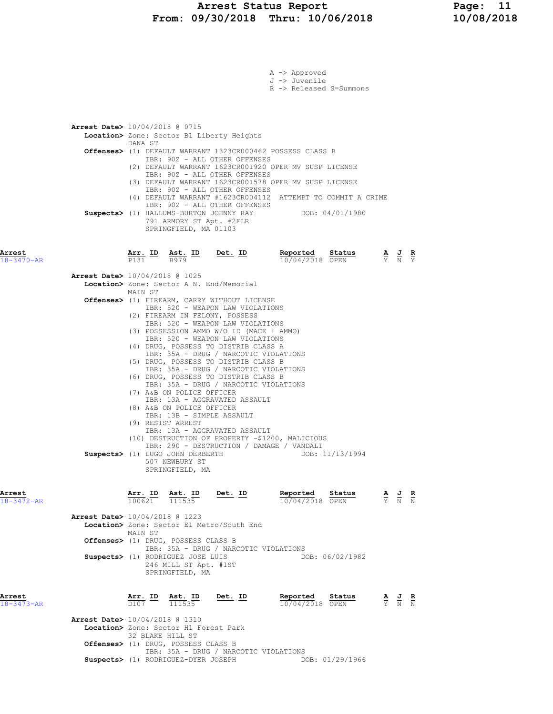#### Arrest Status Report Page: 11 From: 09/30/2018 Thru: 10/06/2018 10/08/2018

|                            |                                          |                  |                                                                                                                                               |                                                                                                                                                                                                                                                                                                                                                                                                                                                                                                                                                 | A -> Approved<br>J -> Juvenile<br>R -> Released S=Summons                                                                               |                 |                                                                                                 |                                                                                                 |  |
|----------------------------|------------------------------------------|------------------|-----------------------------------------------------------------------------------------------------------------------------------------------|-------------------------------------------------------------------------------------------------------------------------------------------------------------------------------------------------------------------------------------------------------------------------------------------------------------------------------------------------------------------------------------------------------------------------------------------------------------------------------------------------------------------------------------------------|-----------------------------------------------------------------------------------------------------------------------------------------|-----------------|-------------------------------------------------------------------------------------------------|-------------------------------------------------------------------------------------------------|--|
|                            | <b>Arrest Date&gt;</b> 10/04/2018 @ 0715 | DANA ST          |                                                                                                                                               | Location> Zone: Sector B1 Liberty Heights<br>IBR: 90Z - ALL OTHER OFFENSES<br>IBR: 90Z - ALL OTHER OFFENSES                                                                                                                                                                                                                                                                                                                                                                                                                                     | Offenses> (1) DEFAULT WARRANT 1323CR000462 POSSESS CLASS B<br>(2) DEFAULT WARRANT 1623CR001920 OPER MV SUSP LICENSE                     |                 |                                                                                                 |                                                                                                 |  |
|                            |                                          |                  | 791 ARMORY ST Apt. #2FLR<br>SPRINGFIELD, MA 01103                                                                                             | IBR: 90Z - ALL OTHER OFFENSES<br>IBR: 90Z - ALL OTHER OFFENSES<br>Suspects> (1) HALLUMS-BURTON JOHNNY RAY                                                                                                                                                                                                                                                                                                                                                                                                                                       | (3) DEFAULT WARRANT 1623CR001578 OPER MV SUSP LICENSE<br>(4) DEFAULT WARRANT #1623CR004112 ATTEMPT TO COMMIT A CRIME<br>DOB: 04/01/1980 |                 |                                                                                                 |                                                                                                 |  |
| Arrest<br>$18 - 3470 - AR$ |                                          |                  |                                                                                                                                               | $\frac{\texttt{Arr.}}{\texttt{P131}}$ ID $\frac{\texttt{Ast.}}{\texttt{B979}}$ ID Det. ID                                                                                                                                                                                                                                                                                                                                                                                                                                                       | Reported<br>$10/04/2018$ OPEN                                                                                                           | Status          |                                                                                                 | $\frac{\mathbf{A}}{\mathbf{Y}}$ $\frac{\mathbf{J}}{\mathbf{N}}$ $\frac{\mathbf{R}}{\mathbf{Y}}$ |  |
|                            | <b>Arrest Date&gt;</b> 10/04/2018 @ 1025 |                  |                                                                                                                                               | Location> Zone: Sector A N. End/Memorial                                                                                                                                                                                                                                                                                                                                                                                                                                                                                                        |                                                                                                                                         |                 |                                                                                                 |                                                                                                 |  |
|                            |                                          | MAIN ST          |                                                                                                                                               | Offenses> (1) FIREARM, CARRY WITHOUT LICENSE                                                                                                                                                                                                                                                                                                                                                                                                                                                                                                    |                                                                                                                                         |                 |                                                                                                 |                                                                                                 |  |
|                            |                                          |                  | (7) A&B ON POLICE OFFICER<br>(8) A&B ON POLICE OFFICER<br>IBR: 13B - SIMPLE ASSAULT<br>(9) RESIST ARREST<br>507 NEWBURY ST<br>SPRINGFIELD, MA | IBR: 520 - WEAPON LAW VIOLATIONS<br>(2) FIREARM IN FELONY, POSSESS<br>IBR: 520 - WEAPON LAW VIOLATIONS<br>(3) POSSESSION AMMO W/O ID (MACE + AMMO)<br>IBR: 520 - WEAPON LAW VIOLATIONS<br>(4) DRUG, POSSESS TO DISTRIB CLASS A<br>IBR: 35A - DRUG / NARCOTIC VIOLATIONS<br>(5) DRUG, POSSESS TO DISTRIB CLASS B<br>IBR: 35A - DRUG / NARCOTIC VIOLATIONS<br>(6) DRUG, POSSESS TO DISTRIB CLASS B<br>IBR: 35A - DRUG / NARCOTIC VIOLATIONS<br>IBR: 13A - AGGRAVATED ASSAULT<br>IBR: 13A - AGGRAVATED ASSAULT<br>Suspects> (1) LUGO JOHN DERBERTH | (10) DESTRUCTION OF PROPERTY -\$1200, MALICIOUS<br>IBR: 290 - DESTRUCTION / DAMAGE / VANDALI<br>DOB: 11/13/1994                         |                 |                                                                                                 |                                                                                                 |  |
| Arrest<br>$18 - 3472 - AR$ |                                          | 100621           | Arr. ID Ast. ID<br>111535                                                                                                                     | <u>Det. ID</u>                                                                                                                                                                                                                                                                                                                                                                                                                                                                                                                                  | Reported<br>10/04/2018 OPEN                                                                                                             | Status          | $\frac{\mathbf{A}}{\mathbf{Y}}$ $\frac{\mathbf{J}}{\mathbf{N}}$ $\frac{\mathbf{R}}{\mathbf{N}}$ |                                                                                                 |  |
|                            | <b>Arrest Date&gt;</b> 10/04/2018 @ 1223 |                  |                                                                                                                                               | Location> Zone: Sector E1 Metro/South End                                                                                                                                                                                                                                                                                                                                                                                                                                                                                                       |                                                                                                                                         |                 |                                                                                                 |                                                                                                 |  |
|                            |                                          | MAIN ST          | Offenses> (1) DRUG, POSSESS CLASS B                                                                                                           |                                                                                                                                                                                                                                                                                                                                                                                                                                                                                                                                                 |                                                                                                                                         |                 |                                                                                                 |                                                                                                 |  |
|                            |                                          |                  | Suspects> (1) RODRIGUEZ JOSE LUIS<br>246 MILL ST Apt. #1ST<br>SPRINGFIELD, MA                                                                 | IBR: 35A - DRUG / NARCOTIC VIOLATIONS                                                                                                                                                                                                                                                                                                                                                                                                                                                                                                           |                                                                                                                                         | DOB: 06/02/1982 |                                                                                                 |                                                                                                 |  |
| Arrest<br>18-3473-AR       |                                          | <u>Arr. ID</u>   | Ast. ID<br>111535                                                                                                                             | Det. ID                                                                                                                                                                                                                                                                                                                                                                                                                                                                                                                                         | Reported<br>10/04/2018 OPEN                                                                                                             | Status          |                                                                                                 | $\frac{\mathbf{A}}{\mathbf{Y}}$ $\frac{\mathbf{J}}{\mathbf{N}}$ $\frac{\mathbf{R}}{\mathbf{N}}$ |  |
|                            | Arrest Date> 10/04/2018 @ 1310           | 32 BLAKE HILL ST | Location> Zone: Sector H1 Forest Park                                                                                                         |                                                                                                                                                                                                                                                                                                                                                                                                                                                                                                                                                 |                                                                                                                                         |                 |                                                                                                 |                                                                                                 |  |
|                            |                                          |                  | Offenses> (1) DRUG, POSSESS CLASS B                                                                                                           | IBR: 35A - DRUG / NARCOTIC VIOLATIONS                                                                                                                                                                                                                                                                                                                                                                                                                                                                                                           |                                                                                                                                         |                 |                                                                                                 |                                                                                                 |  |

Suspects> (1) RODRIGUEZ-DYER JOSEPH DOB: 01/29/1966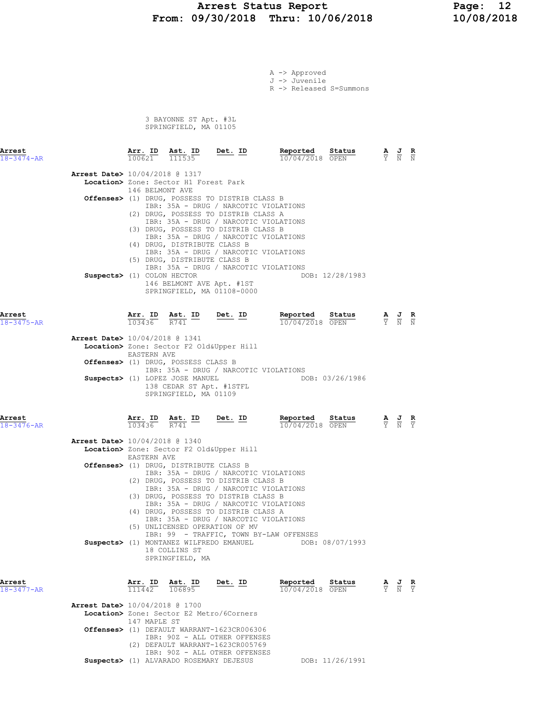## Arrest Status Report 12<br>19/30/2018 Thru: 10/06/2018 10/08/2018 From: 09/30/2018 Thru: 10/06/2018

A -> Approved J -> Juvenile

R -> Released S=Summons

 3 BAYONNE ST Apt. #3L SPRINGFIELD, MA 01105

| Arrest<br>$18 - 3474 - AR$ |                                                                        |                        | $\frac{\texttt{Arr.}}{100621}$ $\frac{\texttt{ Ast.}}{111535}$                                                                                                                                                                | Det. ID                                                                                                                                                                                                                                                                                                                                                                   | Reported<br>10/04/2018 OPEN                                                                                                       | $\frac{\text{Status}}{\text{}}$ | $\frac{\mathbf{A}}{\mathbf{Y}}$ $\frac{\mathbf{J}}{\mathbf{N}}$ $\frac{\mathbf{R}}{\mathbf{N}}$ |  |
|----------------------------|------------------------------------------------------------------------|------------------------|-------------------------------------------------------------------------------------------------------------------------------------------------------------------------------------------------------------------------------|---------------------------------------------------------------------------------------------------------------------------------------------------------------------------------------------------------------------------------------------------------------------------------------------------------------------------------------------------------------------------|-----------------------------------------------------------------------------------------------------------------------------------|---------------------------------|-------------------------------------------------------------------------------------------------|--|
|                            | <b>Arrest Date&gt;</b> 10/04/2018 @ 1317<br>Suspects> (1) COLON HECTOR | 146 BELMONT AVE        | Location> Zone: Sector H1 Forest Park<br>(4) DRUG, DISTRIBUTE CLASS B<br>(5) DRUG, DISTRIBUTE CLASS B<br>146 BELMONT AVE Apt. #1ST                                                                                            | Offenses> (1) DRUG, POSSESS TO DISTRIB CLASS B<br>IBR: 35A - DRUG / NARCOTIC VIOLATIONS<br>(2) DRUG, POSSESS TO DISTRIB CLASS A<br>IBR: 35A - DRUG / NARCOTIC VIOLATIONS<br>(3) DRUG, POSSESS TO DISTRIB CLASS B<br>IBR: 35A - DRUG / NARCOTIC VIOLATIONS<br>IBR: 35A - DRUG / NARCOTIC VIOLATIONS<br>IBR: 35A - DRUG / NARCOTIC VIOLATIONS<br>SPRINGFIELD, MA 01108-0000 | DOB: 12/28/1983                                                                                                                   |                                 |                                                                                                 |  |
| Arrest<br>18-3475-AR       | Arrest Date> 10/04/2018 @ 1341                                         | <b>EASTERN AVE</b>     | $\frac{\texttt{Arr.}}{103436}$ $\frac{\texttt{Ab.}}{R741}$ ID Det. ID<br>Offenses> (1) DRUG, POSSESS CLASS B<br>Suspects> (1) LOPEZ JOSE MANUEL<br>138 CEDAR ST Apt. #1STFL<br>SPRINGFIELD, MA 01109                          | Location> Zone: Sector F2 Old&Upper Hill<br>IBR: 35A - DRUG / NARCOTIC VIOLATIONS                                                                                                                                                                                                                                                                                         | Repor <u>ted</u><br>10/04/2018 OPEN<br>DOB: 03/26/1986                                                                            | Status                          | $\frac{\mathbf{A}}{\mathbf{Y}}$ $\frac{\mathbf{J}}{\mathbf{N}}$ $\frac{\mathbf{R}}{\mathbf{N}}$ |  |
| Arrest<br>18-3476-AR       | <b>Arrest Date&gt;</b> 10/04/2018 @ 1340                               | EASTERN AVE            | $\frac{\texttt{Arr.}}{103436}$ $\frac{\texttt{Ast.}}{R741}$ $\frac{\texttt{ID}}{R}$ $\frac{\texttt{Det.}}{R}$ $\frac{\texttt{ID}}{R}$<br><b>Offenses&gt;</b> (1) DRUG, DISTRIBUTE CLASS B<br>18 COLLINS ST<br>SPRINGFIELD, MA | Location> Zone: Sector F2 Old&Upper Hill<br>IBR: 35A - DRUG / NARCOTIC VIOLATIONS<br>(2) DRUG, POSSESS TO DISTRIB CLASS B<br>IBR: 35A - DRUG / NARCOTIC VIOLATIONS<br>(3) DRUG, POSSESS TO DISTRIB CLASS B<br>IBR: 35A - DRUG / NARCOTIC VIOLATIONS<br>(4) DRUG, POSSESS TO DISTRIB CLASS A<br>IBR: 35A - DRUG / NARCOTIC VIOLATIONS<br>(5) UNLICENSED OPERATION OF MV    | Reported<br>10/04/2018 OPEN<br>IBR: 99 - TRAFFIC, TOWN BY-LAW OFFENSES<br>Suspects> (1) MONTANEZ WILFREDO EMANUEL DOB: 08/07/1993 | Status                          | $\frac{\mathbf{A}}{\mathbf{Y}}$ $\frac{\mathbf{J}}{\mathbf{N}}$ $\frac{\mathbf{R}}{\mathbf{Y}}$ |  |
| Arrest<br>18-3477-AR       | <b>Arrest Date&gt;</b> 10/04/2018 @ 1700                               | 111442<br>147 MAPLE ST | Arr. ID Ast. ID<br>106895                                                                                                                                                                                                     | Det. ID<br>Location> Zone: Sector E2 Metro/6Corners                                                                                                                                                                                                                                                                                                                       | Reported<br>10/04/2018 OPEN                                                                                                       | Status                          | $\frac{\mathbf{A}}{\mathbf{Y}}$ $\frac{\mathbf{J}}{\mathbf{N}}$ $\frac{\mathbf{R}}{\mathbf{Y}}$ |  |
|                            |                                                                        |                        |                                                                                                                                                                                                                               | Offenses> (1) DEFAULT WARRANT-1623CR006306<br>IBR: 90Z - ALL OTHER OFFENSES                                                                                                                                                                                                                                                                                               |                                                                                                                                   |                                 |                                                                                                 |  |

 (2) DEFAULT WARRANT-1623CR005769 IBR: 90Z - ALL OTHER OFFENSES

Suspects> (1) ALVARADO ROSEMARY DEJESUS DOB: 11/26/1991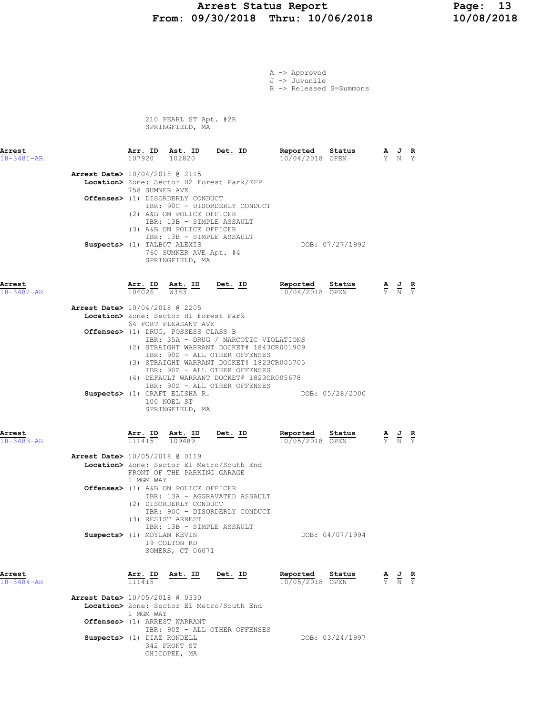#### Arrest Status Report 13<br>19/30/2018 Thru: 10/06/2018 10/08/2018 From: 09/30/2018 Thru: 10/06/2018

A -> Approved

|                                |                                           |                                                                                                                         |                                                                                                                                                                                                                                                                                | J -> Juvenile<br>R -> Released S=Summons |                 |                                   |                                                                                                 |                               |
|--------------------------------|-------------------------------------------|-------------------------------------------------------------------------------------------------------------------------|--------------------------------------------------------------------------------------------------------------------------------------------------------------------------------------------------------------------------------------------------------------------------------|------------------------------------------|-----------------|-----------------------------------|-------------------------------------------------------------------------------------------------|-------------------------------|
|                                |                                           | 210 PEARL ST Apt. #2R<br>SPRINGFIELD, MA                                                                                |                                                                                                                                                                                                                                                                                |                                          |                 |                                   |                                                                                                 |                               |
| Arrest<br>$18 - 3481 - AR$     |                                           | $\frac{\texttt{Arr.}}{107920}$ $\frac{\texttt{ Ast.}}{102820}$                                                          | <u>Det. ID</u>                                                                                                                                                                                                                                                                 | Reported Status<br>10/04/2018 OPEN       |                 |                                   | $\frac{\mathbf{A}}{\mathbf{Y}}$ $\frac{\mathbf{J}}{\mathbf{N}}$ $\frac{\mathbf{R}}{\mathbf{Y}}$ |                               |
| Arrest Date> 10/04/2018 @ 2115 | 758 SUMNER AVE                            |                                                                                                                         | Location> Zone: Sector H2 Forest Park/EFP                                                                                                                                                                                                                                      |                                          |                 |                                   |                                                                                                 |                               |
|                                |                                           | Offenses> (1) DISORDERLY CONDUCT<br>(2) A&B ON POLICE OFFICER<br>IBR: 13B - SIMPLE ASSAULT<br>(3) A&B ON POLICE OFFICER | IBR: 90C - DISORDERLY CONDUCT                                                                                                                                                                                                                                                  |                                          |                 |                                   |                                                                                                 |                               |
| Suspects> (1) TALBOT ALEXIS    |                                           | IBR: 13B - SIMPLE ASSAULT<br>760 SUMNER AVE Apt. #4<br>SPRINGFIELD, MA                                                  |                                                                                                                                                                                                                                                                                |                                          | DOB: 07/27/1992 |                                   |                                                                                                 |                               |
| Arrest<br>$18 - 3482 - AR$     | <u>Arr.</u> ID<br>$\frac{106026}{106026}$ | $\frac{\text{Ast.}}{\text{W}383}$ ID                                                                                    | <u>Det.</u> ID                                                                                                                                                                                                                                                                 | Reported<br>10/04/2018 OPEN              | Status          |                                   | $\frac{\mathbf{A}}{\mathbf{Y}}$ $\frac{\mathbf{J}}{\mathbf{N}}$ $\frac{\mathbf{R}}{\mathbf{Y}}$ |                               |
| Arrest Date> 10/04/2018 @ 2205 |                                           | Location> Zone: Sector H1 Forest Park<br>64 FORT PLEASANT AVE                                                           |                                                                                                                                                                                                                                                                                |                                          |                 |                                   |                                                                                                 |                               |
|                                |                                           | Offenses> (1) DRUG, POSSESS CLASS B                                                                                     | IBR: 35A - DRUG / NARCOTIC VIOLATIONS<br>(2) STRAIGHT WARRANT DOCKET# 1843CR001909<br>IBR: 90Z - ALL OTHER OFFENSES<br>(3) STRAIGHT WARRANT DOCKET# 1823CR005705<br>IBR: 90Z - ALL OTHER OFFENSES<br>(4) DEFAULT WARRANT DOCKET# 1823CR005678<br>IBR: 90Z - ALL OTHER OFFENSES |                                          |                 |                                   |                                                                                                 |                               |
|                                |                                           | Suspects> (1) CRAFT ELISHA R.<br>100 NOEL ST<br>SPRINGFIELD, MA                                                         |                                                                                                                                                                                                                                                                                |                                          | DOB: 05/28/2000 |                                   |                                                                                                 |                               |
| Arrest<br>$18 - 3483 - AR$     | $\frac{\texttt{Arr.}}{111415}$            | Ast. ID<br>$\frac{109489}{109489}$                                                                                      | <u>Det.</u> ID                                                                                                                                                                                                                                                                 | Reported<br>10/05/2018 OPEN              | Status          |                                   | $\frac{\mathbf{A}}{\mathbf{Y}}$ $\frac{\mathbf{J}}{\mathbf{N}}$ $\frac{\mathbf{R}}{\mathbf{Y}}$ |                               |
| Arrest Date> 10/05/2018 @ 0119 | 1 MGM WAY                                 | FRONT OF THE PARKING GARAGE                                                                                             | Location> Zone: Sector E1 Metro/South End                                                                                                                                                                                                                                      |                                          |                 |                                   |                                                                                                 |                               |
|                                |                                           | Offenses> (1) A&B ON POLICE OFFICER<br>(2) DISORDERLY CONDUCT<br>(3) RESIST ARREST<br>IBR: 13B - SIMPLE ASSAULT         | IBR: 13A - AGGRAVATED ASSAULT<br>IBR: 90C - DISORDERLY CONDUCT                                                                                                                                                                                                                 |                                          |                 |                                   |                                                                                                 |                               |
| Suspects> (1) MOYLAN KEVIN     |                                           | 19 COLTON RD<br>SOMERS, CT 06071                                                                                        |                                                                                                                                                                                                                                                                                |                                          | DOB: 04/07/1994 |                                   |                                                                                                 |                               |
| Arrest<br>18-3484-AR           | Arr. ID<br>111415                         | Ast. ID                                                                                                                 | Det. ID                                                                                                                                                                                                                                                                        | Reported<br>10/05/2018 OPEN              | Status          | $\frac{\mathbf{A}}{\overline{Y}}$ | $\frac{J}{N}$                                                                                   | $\frac{\mathbf{R}}{\Upsilon}$ |

 Arrest Date> 10/05/2018 @ 0330 Location> Zone: Sector E1 Metro/South End

1 MGM WAY

 342 FRONT ST CHICOPEE, MA

 Offenses> (1) ARREST WARRANT IBR: 90Z - ALL OTHER OFFENSES Suspects> (1) DIAZ RONDELL DOB: 03/24/1997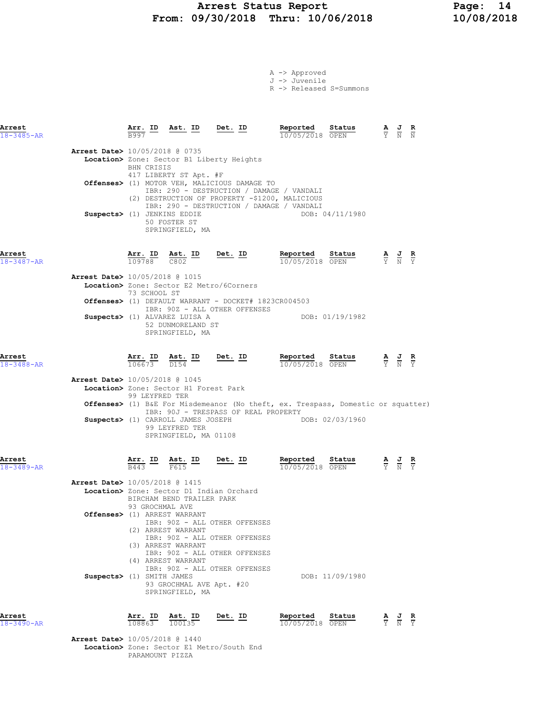# Arrest Status Report Page: 14<br>19/30/2018 Thru: 10/06/2018 10/08/2018 From: 09/30/2018 Thru: 10/06/2018

|  | A -> Approved             |                         |
|--|---------------------------|-------------------------|
|  | $J \rightarrow J$ uvenile |                         |
|  |                           | R -> Released S=Summons |

| Arrest<br>$18 - 3485 - AR$ |                                                                                                                                                                      | Arr. ID<br>B997                                                    |                                                                | <u>Ast. ID Det. ID</u>                   |           |                                                                                                                                  | Reported<br>10/05/2018 OPEN                                                                                                              | Status          | $\frac{\mathbf{A}}{\mathbf{Y}}$ $\frac{\mathbf{J}}{\mathbf{N}}$ $\frac{\mathbf{R}}{\mathbf{N}}$       |               |
|----------------------------|----------------------------------------------------------------------------------------------------------------------------------------------------------------------|--------------------------------------------------------------------|----------------------------------------------------------------|------------------------------------------|-----------|----------------------------------------------------------------------------------------------------------------------------------|------------------------------------------------------------------------------------------------------------------------------------------|-----------------|-------------------------------------------------------------------------------------------------------|---------------|
|                            | <b>Arrest Date&gt;</b> 10/05/2018 @ 0735<br>Location> Zone: Sector B1 Liberty Heights<br>Offenses> (1) MOTOR VEH, MALICIOUS DAMAGE TO<br>Suspects> (1) JENKINS EDDIE | <b>BHN CRISIS</b><br>417 LIBERTY ST Apt. #F                        | 50 FOSTER ST<br>SPRINGFIELD, MA                                |                                          |           |                                                                                                                                  | IBR: 290 - DESTRUCTION / DAMAGE / VANDALI<br>(2) DESTRUCTION OF PROPERTY -\$1200, MALICIOUS<br>IBR: 290 - DESTRUCTION / DAMAGE / VANDALI | DOB: 04/11/1980 |                                                                                                       |               |
| Arrest<br>$18 - 3487 - AR$ |                                                                                                                                                                      | Arr. ID Ast. ID<br>109788 C802                                     |                                                                |                                          |           | Det. <u>ID</u>                                                                                                                   | Reported<br>10/05/2018 OPEN                                                                                                              | Status          | $\frac{\mathbf{A}}{\mathbf{Y}}$ $\frac{\mathbf{J}}{\mathbf{N}}$                                       | $\frac{R}{Y}$ |
|                            | Arrest Date> 10/05/2018 @ 1015<br>Location> Zone: Sector E2 Metro/6Corners<br><b>Offenses&gt;</b> (1) DEFAULT WARRANT - DOCKET# 1823CR004503                         | 73 SCHOOL ST                                                       |                                                                |                                          |           |                                                                                                                                  |                                                                                                                                          |                 |                                                                                                       |               |
|                            | Suspects> (1) ALVAREZ LUISA A                                                                                                                                        |                                                                    | 52 DUNMORELAND ST<br>SPRINGFIELD, MA                           |                                          |           | IBR: 90Z - ALL OTHER OFFENSES                                                                                                    |                                                                                                                                          | DOB: 01/19/1982 |                                                                                                       |               |
| Arrest<br>$18 - 3488 - AR$ |                                                                                                                                                                      | $\frac{\texttt{Arr. ID}}{106673}$ $\frac{\texttt{ Ast. ID}}{D154}$ |                                                                |                                          | $Det. ID$ |                                                                                                                                  | Reported<br>10/05/2018 OPEN                                                                                                              | Status          | $\frac{\mathbf{A}}{\overline{Y}}$ $\frac{\mathbf{J}}{\overline{N}}$ $\frac{\mathbf{R}}{\overline{Y}}$ |               |
|                            | <b>Arrest Date&gt;</b> 10/05/2018 @ 1045<br>Location> Zone: Sector H1 Forest Park<br>Suspects> (1) CARROLL JAMES JOSEPH                                              | 99 LEYFRED TER                                                     | 99 LEYFRED TER<br>SPRINGFIELD, MA 01108                        |                                          |           | IBR: 90J - TRESPASS OF REAL PROPERTY                                                                                             | <b>Offenses&gt;</b> (1) B&E For Misdemeanor (No theft, ex. Trespass, Domestic or squatter)<br>DOB: 02/03/1960                            |                 |                                                                                                       |               |
| Arrest<br>$18 - 3489 - AR$ |                                                                                                                                                                      | Arr. ID<br>$\overline{B443}$                                       | F615                                                           | $\frac{\texttt{Ast.}}{\texttt{F615}}$ ID | $Det. ID$ |                                                                                                                                  | Reported<br>10/05/2018 OPEN                                                                                                              | Status          | $\frac{\mathbf{A}}{\mathbf{Y}}$ $\frac{\mathbf{J}}{\mathbf{N}}$                                       |               |
|                            | Arrest Date> 10/05/2018 @ 1415<br>Location> Zone: Sector D1 Indian Orchard                                                                                           | BIRCHAM BEND TRAILER PARK<br>93 GROCHMAL AVE                       |                                                                |                                          |           |                                                                                                                                  |                                                                                                                                          |                 |                                                                                                       |               |
|                            | Offenses> (1) ARREST WARRANT                                                                                                                                         |                                                                    | (2) ARREST WARRANT<br>(3) ARREST WARRANT<br>(4) ARREST WARRANT |                                          |           | IBR: 90Z - ALL OTHER OFFENSES<br>IBR: 90Z - ALL OTHER OFFENSES<br>IBR: 90Z - ALL OTHER OFFENSES<br>IBR: 90Z - ALL OTHER OFFENSES |                                                                                                                                          |                 |                                                                                                       |               |
|                            | Suspects> (1) SMITH JAMES                                                                                                                                            |                                                                    | 93 GROCHMAL AVE Apt. #20<br>SPRINGFIELD, MA                    |                                          |           |                                                                                                                                  |                                                                                                                                          | DOB: 11/09/1980 |                                                                                                       |               |
| Arrest<br>$18 - 3490 - AR$ | Arrest Date> 10/05/2018 @ 1440                                                                                                                                       | Arr. ID<br>108863                                                  |                                                                | Ast. ID<br>100135                        | Det. ID   |                                                                                                                                  | Reported<br>10/05/2018 OPEN                                                                                                              | Status          |                                                                                                       |               |
|                            | Location> Zone: Sector E1 Metro/South End                                                                                                                            |                                                                    |                                                                |                                          |           |                                                                                                                                  |                                                                                                                                          |                 |                                                                                                       |               |

PARAMOUNT PIZZA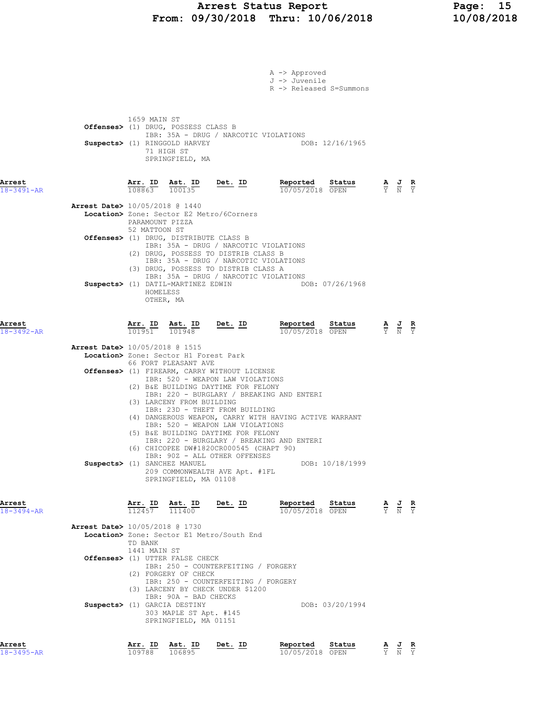## Arrest Status Report Page: 15<br>19/30/2018 Thru: 10/06/2018 10/08/2018 From: 09/30/2018 Thru: 10/06/2018

|                            |                                          |                                                                                                    |                                                                          |                                                                                                                         | A -> Approved<br>J -> Juvenile<br>R -> Released S=Summons                                                                                        |                 |                                                                                                 |  |
|----------------------------|------------------------------------------|----------------------------------------------------------------------------------------------------|--------------------------------------------------------------------------|-------------------------------------------------------------------------------------------------------------------------|--------------------------------------------------------------------------------------------------------------------------------------------------|-----------------|-------------------------------------------------------------------------------------------------|--|
|                            |                                          | 1659 MAIN ST<br>Offenses> (1) DRUG, POSSESS CLASS B<br>Suspects> (1) RINGGOLD HARVEY<br>71 HIGH ST | SPRINGFIELD, MA                                                          | IBR: 35A - DRUG / NARCOTIC VIOLATIONS                                                                                   |                                                                                                                                                  | DOB: 12/16/1965 |                                                                                                 |  |
| Arrest<br>18-3491-AR       |                                          | Arr. ID<br>108863                                                                                  | Ast. ID<br>100135                                                        | <u>Det. ID</u>                                                                                                          | Reported<br>10/05/2018 OPEN                                                                                                                      | Status          | $\frac{\mathbf{A}}{\mathbf{Y}}$ $\frac{\mathbf{J}}{\mathbf{N}}$ $\frac{\mathbf{R}}{\mathbf{Y}}$ |  |
|                            | <b>Arrest Date&gt;</b> 10/05/2018 @ 1440 | PARAMOUNT PIZZA                                                                                    |                                                                          | Location> Zone: Sector E2 Metro/6Corners                                                                                |                                                                                                                                                  |                 |                                                                                                 |  |
|                            |                                          | 52 MATTOON ST<br>Offenses> (1) DRUG, DISTRIBUTE CLASS B                                            |                                                                          | IBR: 35A - DRUG / NARCOTIC VIOLATIONS<br>(2) DRUG, POSSESS TO DISTRIB CLASS B<br>IBR: 35A - DRUG / NARCOTIC VIOLATIONS  |                                                                                                                                                  |                 |                                                                                                 |  |
|                            |                                          | Suspects> (1) DATIL-MARTINEZ EDWIN<br>HOMELESS<br>OTHER, MA                                        |                                                                          | (3) DRUG, POSSESS TO DISTRIB CLASS A<br>IBR: 35A - DRUG / NARCOTIC VIOLATIONS                                           |                                                                                                                                                  | DOB: 07/26/1968 |                                                                                                 |  |
| Arrest<br>$18 - 3492 - AR$ |                                          | Arr. ID Ast. ID<br>101951                                                                          | 101948                                                                   | <u>Det. ID</u>                                                                                                          | Reported<br>10/05/2018 OPEN                                                                                                                      | Status          | $\frac{\mathbf{A}}{\mathbf{Y}}$ $\frac{\mathbf{J}}{\mathbf{N}}$ $\frac{\mathbf{R}}{\mathbf{Y}}$ |  |
|                            | <b>Arrest Date&gt;</b> 10/05/2018 @ 1515 | Location> Zone: Sector H1 Forest Park                                                              |                                                                          |                                                                                                                         |                                                                                                                                                  |                 |                                                                                                 |  |
|                            |                                          | 66 FORT PLEASANT AVE                                                                               |                                                                          | Offenses> (1) FIREARM, CARRY WITHOUT LICENSE<br>IBR: 520 - WEAPON LAW VIOLATIONS<br>(2) B&E BUILDING DAYTIME FOR FELONY |                                                                                                                                                  |                 |                                                                                                 |  |
|                            |                                          | (3) LARCENY FROM BUILDING                                                                          |                                                                          | IBR: 23D - THEFT FROM BUILDING<br>IBR: 520 - WEAPON LAW VIOLATIONS<br>(5) B&E BUILDING DAYTIME FOR FELONY               | IBR: 220 - BURGLARY / BREAKING AND ENTERI<br>(4) DANGEROUS WEAPON, CARRY WITH HAVING ACTIVE WARRANT<br>IBR: 220 - BURGLARY / BREAKING AND ENTERI |                 |                                                                                                 |  |
|                            |                                          | Suspects> (1) SANCHEZ MANUEL                                                                       | SPRINGFIELD, MA 01108                                                    | (6) CHICOPEE DW#1820CR000545 (CHAPT 90)<br>IBR: 90Z - ALL OTHER OFFENSES<br>209 COMMONWEALTH AVE Apt. #1FL              |                                                                                                                                                  | DOB: 10/18/1999 |                                                                                                 |  |
| Arrest<br>$18 - 3494 - AR$ |                                          | $\frac{\texttt{Arr.}}{112457}$ $\frac{\texttt{Ab.}}{111400}$ Det. ID                               |                                                                          |                                                                                                                         | Reported<br>10/05/2018 OPEN                                                                                                                      | Status          | $\frac{\mathbf{A}}{\mathbf{Y}}$ $\frac{\mathbf{J}}{\mathbf{N}}$ $\frac{\mathbf{R}}{\mathbf{Y}}$ |  |
|                            | <b>Arrest Date&gt;</b> 10/05/2018 @ 1730 | TD BANK<br>1441 MAIN ST                                                                            |                                                                          | Location> Zone: Sector E1 Metro/South End                                                                               |                                                                                                                                                  |                 |                                                                                                 |  |
|                            |                                          | <b>Offenses&gt;</b> (1) UTTER FALSE CHECK<br>(2) FORGERY OF CHECK                                  |                                                                          | IBR: 250 - COUNTERFEITING / FORGERY<br>IBR: 250 - COUNTERFEITING / FORGERY<br>(3) LARCENY BY CHECK UNDER \$1200         |                                                                                                                                                  |                 |                                                                                                 |  |
|                            |                                          | Suspects> (1) GARCIA DESTINY                                                                       | IBR: 90A - BAD CHECKS<br>303 MAPLE ST Apt. #145<br>SPRINGFIELD, MA 01151 |                                                                                                                         |                                                                                                                                                  | DOB: 03/20/1994 |                                                                                                 |  |
| Arrest                     |                                          | Arr. ID Ast. ID                                                                                    |                                                                          | Det. ID                                                                                                                 | Reported                                                                                                                                         | Status          | AJ R                                                                                            |  |

18-3495-AR 109788 106895 10/05/2018 OPEN Y N Y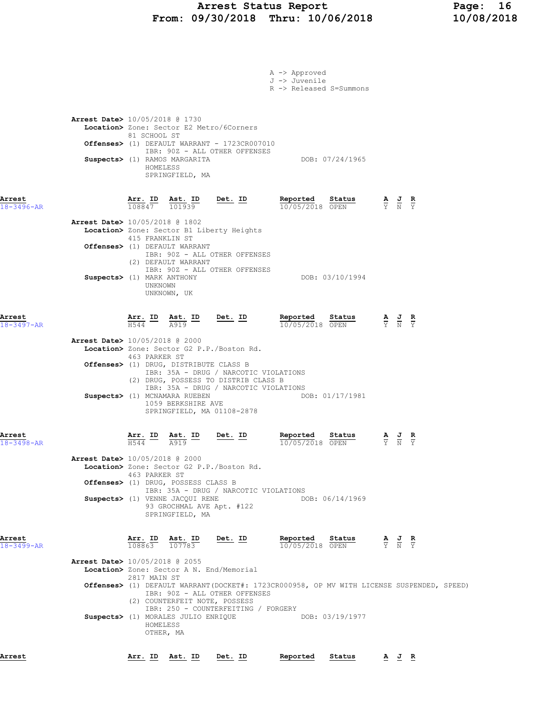# Arrest Status Report Page: 16<br>19/30/2018 Thru: 10/06/2018 10/08/2018 From: 09/30/2018 Thru: 10/06/2018

|                                                                  |                                                                        |                                                                                               |                                                                                                                                                                                                   | A -> Approved<br>J -> Juvenile<br>R -> Released S=Summons                                                    |                             |                                                                                                 |  |
|------------------------------------------------------------------|------------------------------------------------------------------------|-----------------------------------------------------------------------------------------------|---------------------------------------------------------------------------------------------------------------------------------------------------------------------------------------------------|--------------------------------------------------------------------------------------------------------------|-----------------------------|-------------------------------------------------------------------------------------------------|--|
| <b>Arrest Date&gt;</b> 10/05/2018 @ 1730                         | 81 SCHOOL ST<br>HOMELESS                                               | Suspects> (1) RAMOS MARGARITA<br>SPRINGFIELD, MA                                              | Location> Zone: Sector E2 Metro/6Corners<br>Offenses> (1) DEFAULT WARRANT - 1723CR007010<br>IBR: 90Z - ALL OTHER OFFENSES                                                                         | DOB: 07/24/1965                                                                                              |                             |                                                                                                 |  |
| Arrest<br>18-3496-AR                                             | $\frac{\text{Arr.}}{108847}$ $\frac{\text{B}}{101939}$                 |                                                                                               | <u>Det. ID</u>                                                                                                                                                                                    | <u>Reported</u><br>Status<br>10/05/2018 OPEN                                                                 |                             | $\frac{\mathbf{A}}{\mathbf{Y}}$ $\frac{\mathbf{J}}{\mathbf{N}}$ $\frac{\mathbf{R}}{\mathbf{Y}}$ |  |
| <b>Arrest Date&gt;</b> 10/05/2018 @ 1802                         | 415 FRANKLIN ST                                                        | Offenses> (1) DEFAULT WARRANT<br>(2) DEFAULT WARRANT                                          | Location> Zone: Sector B1 Liberty Heights<br>IBR: 90Z - ALL OTHER OFFENSES<br>IBR: 90Z - ALL OTHER OFFENSES                                                                                       |                                                                                                              |                             |                                                                                                 |  |
| Suspects> (1) MARK ANTHONY                                       | UNKNOWN                                                                | UNKNOWN, UK                                                                                   |                                                                                                                                                                                                   | DOB: 03/10/1994                                                                                              |                             |                                                                                                 |  |
| Arrest<br>18-3497-AR                                             | $\frac{\text{Arr.}}{\text{H544}}$ ID $\frac{\text{Ast.}}{\text{A919}}$ |                                                                                               | <u>Det.</u> ID                                                                                                                                                                                    | Reported Status<br>10/05/2018 OPEN                                                                           |                             | $\frac{\mathbf{A}}{\mathbf{Y}}$ $\frac{\mathbf{J}}{\mathbf{N}}$ $\frac{\mathbf{R}}{\mathbf{Y}}$ |  |
| Arrest Date> 10/05/2018 @ 2000                                   | 463 PARKER ST                                                          | Offenses> (1) DRUG, DISTRIBUTE CLASS B<br>Suspects> (1) MCNAMARA RUEBEN<br>1059 BERKSHIRE AVE | Location> Zone: Sector G2 P.P./Boston Rd.<br>IBR: 35A - DRUG / NARCOTIC VIOLATIONS<br>(2) DRUG, POSSESS TO DISTRIB CLASS B<br>IBR: 35A - DRUG / NARCOTIC VIOLATIONS<br>SPRINGFIELD, MA 01108-2878 | DOB: 01/17/1981                                                                                              |                             |                                                                                                 |  |
| Arrest<br>18-3498-AR<br><b>Arrest Date&gt;</b> 10/05/2018 @ 2000 | $\frac{\text{Arr.}}{\frac{1544}{4}}$<br>H544<br>463 PARKER ST          | Ast. ID<br>A919                                                                               | Det. ID<br>Location> Zone: Sector G2 P.P./Boston Rd.                                                                                                                                              | Reported<br>Status<br>10/05/2018 OPEN                                                                        | $\frac{A}{Y}$ $\frac{C}{N}$ | $rac{\mathbf{R}}{\mathrm{Y}}$                                                                   |  |
|                                                                  |                                                                        | Offenses> (1) DRUG, POSSESS CLASS B<br>Suspects> (1) VENNE JACQUI RENE<br>SPRINGFIELD, MA     | IBR: 35A - DRUG / NARCOTIC VIOLATIONS<br>93 GROCHMAL AVE Apt. #122                                                                                                                                | DOB: 06/14/1969                                                                                              |                             |                                                                                                 |  |
| Arrest<br>18-3499-AR<br><b>Arrest Date&gt;</b> 10/05/2018 @ 2055 | Arr. ID<br>108863                                                      | Ast. ID<br>107783                                                                             | Det. ID<br>Location> Zone: Sector A N. End/Memorial                                                                                                                                               | Reported<br>Status<br>10/05/2018 OPEN                                                                        |                             | $\frac{\mathbf{A}}{\mathbf{Y}}$ $\frac{\mathbf{J}}{\mathbf{N}}$ $\frac{\mathbf{R}}{\mathbf{Y}}$ |  |
|                                                                  | 2817 MAIN ST<br>HOMELESS<br>OTHER, MA                                  | (2) COUNTERFEIT NOTE, POSSESS<br>Suspects> (1) MORALES JULIO ENRIQUE                          | IBR: 90Z - ALL OTHER OFFENSES<br>IBR: 250 - COUNTERFEITING / FORGERY                                                                                                                              | Offenses> (1) DEFAULT WARRANT(DOCKET#: 1723CR000958, OP MV WITH LICENSE SUSPENDED, SPEED)<br>DOB: 03/19/1977 |                             |                                                                                                 |  |
| Arrest                                                           |                                                                        | Arr. ID Ast. ID                                                                               | Det. ID                                                                                                                                                                                           | Reported<br>Status                                                                                           |                             | AJR                                                                                             |  |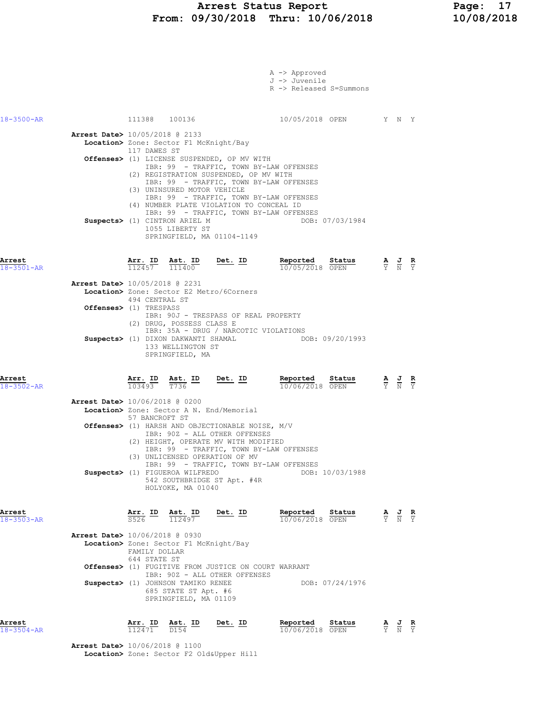#### Arrest Status Report Page: 17 From: 09/30/2018 Thru: 10/06/2018 10/08/2018

|                            |                                                                                                                                                                                                                                                                                                                                                                                                                          | A -> Approved<br>J -> Juvenile<br>R -> Released S=Summons |                                                                                                 |  |
|----------------------------|--------------------------------------------------------------------------------------------------------------------------------------------------------------------------------------------------------------------------------------------------------------------------------------------------------------------------------------------------------------------------------------------------------------------------|-----------------------------------------------------------|-------------------------------------------------------------------------------------------------|--|
| 18-3500-AR                 | 111388 100136<br><b>Arrest Date&gt;</b> 10/05/2018 @ 2133<br>Location> Zone: Sector F1 McKnight/Bay<br>117 DAWES ST<br>Offenses> (1) LICENSE SUSPENDED, OP MV WITH<br>IBR: 99 - TRAFFIC, TOWN BY-LAW OFFENSES<br>(2) REGISTRATION SUSPENDED, OP MV WITH<br>IBR: 99 - TRAFFIC, TOWN BY-LAW OFFENSES<br>(3) UNINSURED MOTOR VEHICLE<br>IBR: 99 - TRAFFIC, TOWN BY-LAW OFFENSES<br>(4) NUMBER PLATE VIOLATION TO CONCEAL ID | 10/05/2018 OPEN Y N Y                                     |                                                                                                 |  |
|                            | IBR: 99 - TRAFFIC, TOWN BY-LAW OFFENSES<br>Suspects> (1) CINTRON ARIEL M<br>1055 LIBERTY ST<br>SPRINGFIELD, MA 01104-1149                                                                                                                                                                                                                                                                                                | DOB: 07/03/1984                                           |                                                                                                 |  |
| Arrest<br>$18 - 3501 - AR$ | $\frac{\texttt{Arr.}}{112457}$ $\frac{\texttt{Ab.}}{111400}$<br>$Det. ID$<br>Arrest Date> 10/05/2018 @ 2231                                                                                                                                                                                                                                                                                                              | Reported<br>Status<br>10/05/2018 OPEN                     | $\frac{\mathbf{A}}{\mathbf{Y}}$ $\frac{\mathbf{J}}{\mathbf{N}}$ $\frac{\mathbf{R}}{\mathbf{Y}}$ |  |
|                            | <b>Location&gt;</b> Zone: Sector E2 Metro/6Corners<br>494 CENTRAL ST<br>Offenses> (1) TRESPASS<br>IBR: 90J - TRESPASS OF REAL PROPERTY<br>(2) DRUG, POSSESS CLASS E                                                                                                                                                                                                                                                      |                                                           |                                                                                                 |  |
|                            | IBR: 35A - DRUG / NARCOTIC VIOLATIONS<br>Suspects> (1) DIXON DAKWANTI SHAMAL THE DOB: 09/20/1993<br>133 WELLINGTON ST<br>SPRINGFIELD, MA                                                                                                                                                                                                                                                                                 |                                                           |                                                                                                 |  |
| Arrest<br>$18 - 3502 - AR$ | Arr. ID Ast. ID<br><u>Det.</u> ID<br>103493 T736                                                                                                                                                                                                                                                                                                                                                                         | Reported Status<br>10/06/2018 OPEN                        | $\frac{\mathbf{A}}{\mathbf{Y}}$ $\frac{\mathbf{J}}{\mathbf{N}}$ $\frac{\mathbf{R}}{\mathbf{Y}}$ |  |
|                            | <b>Arrest Date&gt;</b> 10/06/2018 @ 0200<br>Location> Zone: Sector A N. End/Memorial<br>57 BANCROFT ST                                                                                                                                                                                                                                                                                                                   |                                                           |                                                                                                 |  |
|                            | Offenses> (1) HARSH AND OBJECTIONABLE NOISE, M/V<br>IBR: 90Z - ALL OTHER OFFENSES<br>(2) HEIGHT, OPERATE MV WITH MODIFIED<br>IBR: 99 - TRAFFIC, TOWN BY-LAW OFFENSES<br>(3) UNLICENSED OPERATION OF MV<br>IBR: 99 - TRAFFIC, TOWN BY-LAW OFFENSES<br>Suspects> (1) FIGUEROA WILFREDO<br>542 SOUTHBRIDGE ST Apt. #4R<br>HOLYOKE, MA 01040                                                                                 | DOB: 10/03/1988                                           |                                                                                                 |  |
| Arrest<br>18-3503-AR       | <u>Arr. ID</u><br>Ast. ID<br><u>Det. ID</u><br>112497                                                                                                                                                                                                                                                                                                                                                                    | Reported<br>Status<br>10/06/2018 OPEN                     | $\frac{\mathbf{A}}{\mathbf{Y}}$ $\frac{\mathbf{J}}{\mathbf{N}}$ $\frac{\mathbf{R}}{\mathbf{Y}}$ |  |
|                            | <b>Arrest Date&gt;</b> 10/06/2018 @ 0930<br>Location> Zone: Sector F1 McKnight/Bay<br>FAMILY DOLLAR<br>644 STATE ST<br>Offenses> (1) FUGITIVE FROM JUSTICE ON COURT WARRANT<br>IBR: 90Z - ALL OTHER OFFENSES<br>Suspects> (1) JOHNSON TAMIKO RENEE<br>685 STATE ST Apt. #6<br>SPRINGFIELD, MA 01109                                                                                                                      | DOB: 07/24/1976                                           |                                                                                                 |  |
| Arrest<br>18-3504-AR       | Arr. ID<br>Ast. ID<br>Det. ID<br>$\frac{1}{1124}$ 71<br>$\overline{D1}54$                                                                                                                                                                                                                                                                                                                                                | Reported<br>Status<br>10/06/2018 OPEN                     | $\frac{J}{N}$ $\frac{R}{Y}$<br>$\frac{\mathbf{A}}{\mathrm{Y}}$                                  |  |

 Arrest Date> 10/06/2018 @ 1100 Location> Zone: Sector F2 Old&Upper Hill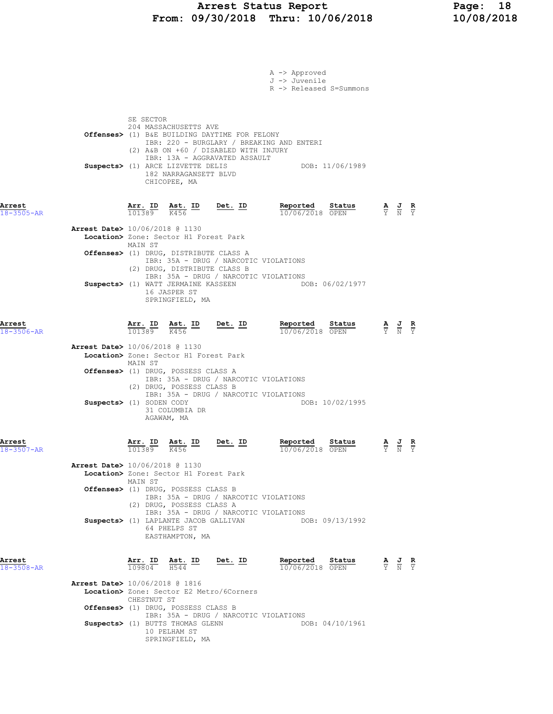|                            | A -> Approved<br>J -> Juvenile<br>R -> Released S=Summons                                                                                                                                                                                                                                                                                             |                                                                                                 |  |
|----------------------------|-------------------------------------------------------------------------------------------------------------------------------------------------------------------------------------------------------------------------------------------------------------------------------------------------------------------------------------------------------|-------------------------------------------------------------------------------------------------|--|
|                            | SE SECTOR<br>204 MASSACHUSETTS AVE<br>Offenses> (1) B&E BUILDING DAYTIME FOR FELONY<br>IBR: 220 - BURGLARY / BREAKING AND ENTERI<br>(2) A&B ON +60 / DISABLED WITH INJURY<br>IBR: 13A - AGGRAVATED ASSAULT<br>Suspects> (1) ARCE LIZVETTE DELIS<br>DOB: 11/06/1989<br>182 NARRAGANSETT BLVD<br>CHICOPEE, MA                                           |                                                                                                 |  |
| Arrest<br>$18 - 3505 - AR$ | $\frac{\texttt{Arr. ID}}{101389}$ $\frac{\texttt{ Ast. ID}}{K456}$ $\frac{\texttt{ID}}{201389}$<br>Reported Status<br>10/06/2018 OPEN                                                                                                                                                                                                                 | $\frac{\mathbf{A}}{\mathbf{Y}}$ $\frac{\mathbf{J}}{\mathbf{N}}$ $\frac{\mathbf{R}}{\mathbf{Y}}$ |  |
|                            | <b>Arrest Date&gt;</b> 10/06/2018 @ 1130<br>Location> Zone: Sector H1 Forest Park<br>MAIN ST<br>Offenses> (1) DRUG, DISTRIBUTE CLASS A<br>IBR: 35A - DRUG / NARCOTIC VIOLATIONS<br>(2) DRUG, DISTRIBUTE CLASS B<br>IBR: 35A - DRUG / NARCOTIC VIOLATIONS<br>Suspects> (1) WATT JERMAINE KASSEEN<br>DOB: 06/02/1977<br>16 JASPER ST<br>SPRINGFIELD, MA |                                                                                                 |  |
| Arrest<br>$18 - 3506 - AR$ | Arr. ID Ast. ID Det. ID<br>Reported Status<br>$\overline{101389}$ K456<br>10/06/2018 OPEN                                                                                                                                                                                                                                                             | $\frac{\mathbf{A}}{\mathbf{Y}}$ $\frac{\mathbf{J}}{\mathbf{N}}$ $\frac{\mathbf{R}}{\mathbf{Y}}$ |  |
|                            | <b>Arrest Date&gt;</b> 10/06/2018 @ 1130<br>Location> Zone: Sector H1 Forest Park<br>MAIN ST<br>Offenses> (1) DRUG, POSSESS CLASS A<br>IBR: 35A - DRUG / NARCOTIC VIOLATIONS<br>(2) DRUG, POSSESS CLASS B<br>IBR: 35A - DRUG / NARCOTIC VIOLATIONS<br>Suspects> (1) SODEN CODY<br>DOB: 10/02/1995<br>31 COLUMBIA DR<br>AGAWAM, MA                     |                                                                                                 |  |
| Arrest<br>$18 - 3507 - AR$ | Ast. ID<br>Det. ID<br>Reported<br>Arr. ID<br>Status<br>101389<br>K456<br>10/06/2018 OPEN                                                                                                                                                                                                                                                              | $\frac{\mathbf{A}}{\mathbf{Y}}$ $\frac{\mathbf{J}}{\mathbf{N}}$ $\frac{\mathbf{R}}{\mathbf{Y}}$ |  |
|                            | <b>Arrest Date&gt;</b> 10/06/2018 @ 1130<br>Location> Zone: Sector H1 Forest Park<br>MAIN ST<br>Offenses> (1) DRUG, POSSESS CLASS B<br>IBR: 35A - DRUG / NARCOTIC VIOLATIONS<br>(2) DRUG, POSSESS CLASS A<br>IBR: 35A - DRUG / NARCOTIC VIOLATIONS<br>Suspects> (1) LAPLANTE JACOB GALLIVAN DOB: 09/13/1992<br>64 PHELPS ST<br>EASTHAMPTON, MA        |                                                                                                 |  |
| Arrest<br>$18 - 3508 - AR$ | Arr. ID Ast. ID<br>Reported<br>Status<br>$Det.$ ID<br>H544<br>109804<br>10/06/2018 OPEN                                                                                                                                                                                                                                                               | $\frac{\mathbf{A}}{\mathbf{Y}}$ $\frac{\mathbf{J}}{\mathbf{N}}$ $\frac{\mathbf{R}}{\mathbf{Y}}$ |  |
|                            | <b>Arrest Date&gt;</b> 10/06/2018 @ 1816<br>Location> Zone: Sector E2 Metro/6Corners<br>CHESTNUT ST<br>Offenses> (1) DRUG, POSSESS CLASS B<br>IBR: 35A - DRUG / NARCOTIC VIOLATIONS<br>Suspects> (1) BUTTS THOMAS GLENN<br>DOB: 04/10/1961<br>10 PELHAM ST<br>SPRINGFIELD, MA                                                                         |                                                                                                 |  |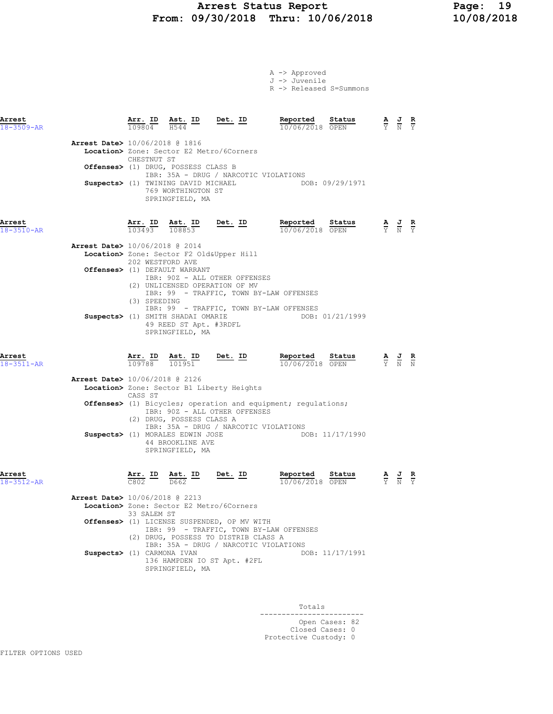### Arrest Status Report Page: 19 From: 09/30/2018 Thru: 10/06/2018 10/08/2018

|                            |                                          |                                |                                                                                |                                                                                                                                | A -> Approved<br>J -> Juvenile<br>R -> Released S=Summons               |                                                                                                       |
|----------------------------|------------------------------------------|--------------------------------|--------------------------------------------------------------------------------|--------------------------------------------------------------------------------------------------------------------------------|-------------------------------------------------------------------------|-------------------------------------------------------------------------------------------------------|
| Arrest<br>18-3509-AR       |                                          | Arr. ID<br>109804              | <u>Ast. ID</u><br>H544                                                         | Det. ID                                                                                                                        | Reported Status<br>10/06/2018 OPEN                                      | $\frac{\mathbf{A}}{\overline{Y}}$ $\frac{\mathbf{J}}{\overline{N}}$ $\frac{\mathbf{R}}{\overline{Y}}$ |
|                            | Arrest Date> 10/06/2018 @ 1816           | CHESTNUT ST                    | Location> Zone: Sector E2 Metro/6Corners                                       |                                                                                                                                |                                                                         |                                                                                                       |
|                            |                                          |                                | Offenses> (1) DRUG, POSSESS CLASS B                                            | IBR: 35A - DRUG / NARCOTIC VIOLATIONS                                                                                          |                                                                         |                                                                                                       |
|                            |                                          |                                | Suspects> (1) TWINING DAVID MICHAEL<br>769 WORTHINGTON ST<br>SPRINGFIELD, MA   |                                                                                                                                | DOB: 09/29/1971                                                         |                                                                                                       |
| Arrest<br>18-3510-AR       |                                          |                                | $\frac{\texttt{Arr. ID}}{103493}$ $\frac{\texttt{ Ast. ID}}{108853}$ Det. ID   |                                                                                                                                | Reported<br>Status<br>10/06/2018 OPEN                                   | $\frac{\mathbf{A}}{\mathbf{Y}}$ $\frac{\mathbf{J}}{\mathbf{N}}$ $\frac{\mathbf{R}}{\mathbf{Y}}$       |
|                            | Arrest Date> 10/06/2018 @ 2014           | 202 WESTFORD AVE               | Location> Zone: Sector F2 Old&Upper Hill                                       |                                                                                                                                |                                                                         |                                                                                                       |
|                            |                                          | (3) SPEEDING                   | Offenses> (1) DEFAULT WARRANT                                                  | IBR: 90Z - ALL OTHER OFFENSES<br>(2) UNLICENSED OPERATION OF MV<br>IBR: 99 - TRAFFIC, TOWN BY-LAW OFFENSES                     |                                                                         |                                                                                                       |
|                            |                                          |                                | Suspects> (1) SMITH SHADAI OMARIE<br>49 REED ST Apt. #3RDFL<br>SPRINGFIELD, MA | IBR: 99 - TRAFFIC, TOWN BY-LAW OFFENSES                                                                                        | DOB: 01/21/1999                                                         |                                                                                                       |
| Arrest<br>$18 - 3511 - AR$ |                                          | $\frac{\texttt{Arr.}}{109788}$ | Ast. ID<br>101951                                                              | Det. ID                                                                                                                        | Reported<br>Status<br>10/06/2018 OPEN                                   | $\frac{\mathbf{A}}{\mathbf{Y}}$ $\frac{\mathbf{J}}{\mathbf{N}}$ $\frac{\mathbf{R}}{\mathbf{N}}$       |
|                            | Arrest Date> 10/06/2018 @ 2126           |                                |                                                                                | Location> Zone: Sector B1 Liberty Heights                                                                                      |                                                                         |                                                                                                       |
|                            |                                          | CASS ST                        |                                                                                |                                                                                                                                |                                                                         |                                                                                                       |
|                            |                                          |                                | (2) DRUG, POSSESS CLASS A                                                      | IBR: 90Z - ALL OTHER OFFENSES<br>IBR: 35A - DRUG / NARCOTIC VIOLATIONS                                                         | <b>Offenses&gt;</b> (1) Bicycles; operation and equipment; regulations; |                                                                                                       |
|                            |                                          |                                | Suspects> (1) MORALES EDWIN JOSE<br>44 BROOKLINE AVE<br>SPRINGFIELD, MA        |                                                                                                                                | DOB: 11/17/1990                                                         |                                                                                                       |
| Arrest<br>$18 - 3512 - AR$ |                                          | Arr. ID<br>C802                | Ast. ID<br>D662                                                                | Det. ID                                                                                                                        | Reported<br>Status<br>10/06/2018 OPEN                                   | $\frac{\mathbf{A}}{\mathbf{Y}}$ $\frac{\mathbf{J}}{\mathbf{N}}$ $\frac{\mathbf{R}}{\mathbf{Y}}$       |
|                            | <b>Arrest Date&gt;</b> 10/06/2018 @ 2213 | 33 SALEM ST                    | Location> Zone: Sector E2 Metro/6Corners                                       |                                                                                                                                |                                                                         |                                                                                                       |
|                            |                                          |                                |                                                                                | Offenses> (1) LICENSE SUSPENDED, OP MV WITH<br>IBR: 99 - TRAFFIC, TOWN BY-LAW OFFENSES<br>(2) DRUG, POSSESS TO DISTRIB CLASS A |                                                                         |                                                                                                       |
|                            | Suspects> (1) CARMONA IVAN               |                                | SPRINGFIELD, MA                                                                | IBR: 35A - DRUG / NARCOTIC VIOLATIONS<br>136 HAMPDEN IO ST Apt. #2FL                                                           | DOB: 11/17/1991                                                         |                                                                                                       |
|                            |                                          |                                |                                                                                |                                                                                                                                |                                                                         |                                                                                                       |

Totals<br>----------------------------------------------- Open Cases: 82 Closed Cases: 0 Protective Custody: 0